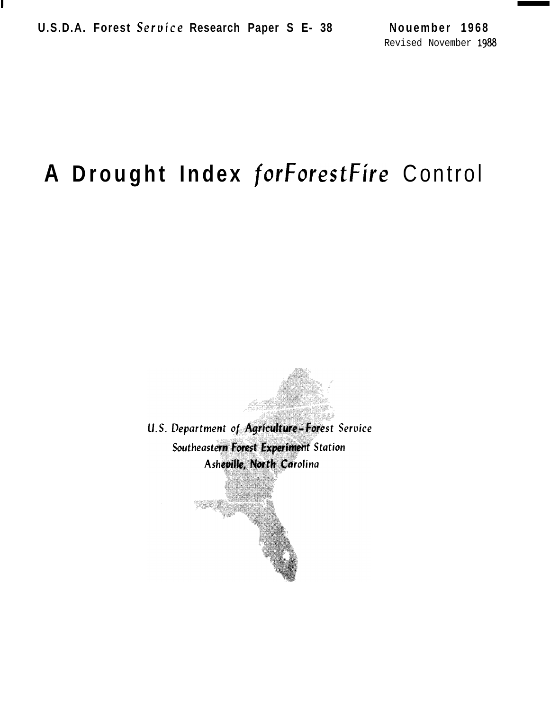# **A Drought Index for** ForestFire Control

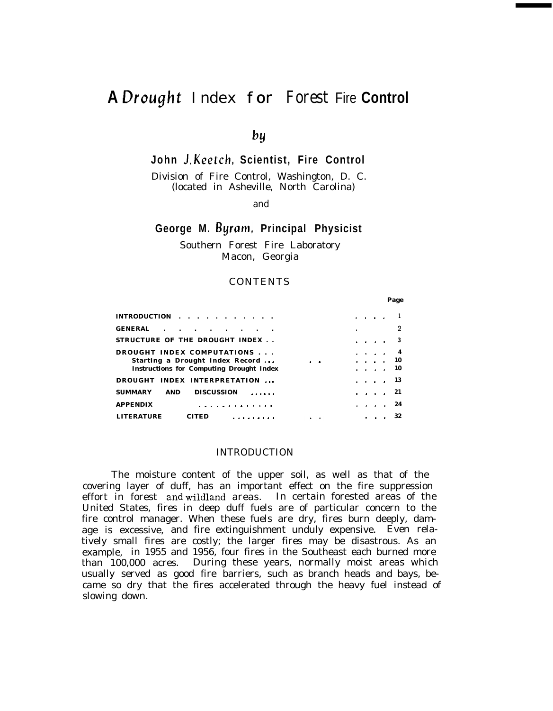## **A** Drought *Index for Forest* Fire **Control**

*bY*

**John J. Keetch, Scientist, Fire Control**

Division of Fire Control, Washington, D. C. (located in Asheville, North Carolina)

and

### **George M. Byram, Principal Physicist**

Southern Forest Fire Laboratory Macon, Georgia

#### CONTENTS

**Page**

| INTRODUCTION $\cdots$ $\cdots$ $\cdots$                                     |  | $\mathbf{r} = \mathbf{r} + \mathbf{r} + \mathbf{r}$ .     |                     |
|-----------------------------------------------------------------------------|--|-----------------------------------------------------------|---------------------|
| <b>GENERAL</b><br>$\mathbf{r}$ , $\mathbf{r}$ , $\mathbf{r}$ , $\mathbf{r}$ |  |                                                           | 2                   |
| STRUCTURE OF THE DROUGHT INDEX                                              |  |                                                           | $\cdots$ $\cdots$ 3 |
| DROUGHT INDEX COMPUTATIONS                                                  |  | $\cdots$                                                  |                     |
| Starting a Drought Index Record                                             |  | $\mathbf{r}$ , $\mathbf{r}$ , $\mathbf{r}$ , $\mathbf{r}$ | - 10                |
| <b>Instructions for Computing Drought Index</b>                             |  | $\cdots$                                                  | - 10                |
| DROUGHT INDEX INTERPRETATION                                                |  |                                                           | . 13                |
| <b>DISCUSSION</b><br><b>SUMMARY</b><br>.<br>AND                             |  | $\cdots$                                                  | 21                  |
| <b>APPENDIX</b>                                                             |  | $\cdots$                                                  | 24                  |
| <b>LITERATURE</b><br>$\cdot$ .                                              |  |                                                           |                     |

#### INTRODUCTION

The moisture content of the upper soil, as well as that of the covering layer of duff, has an important effect on the fire suppression effort in forest and wildland areas. In certain forested areas of the United States, fires in deep duff fuels are of particular concern to the fire control manager. When these fuels are dry, fires burn deeply, damage is excessive, and fire extinguishment unduly expensive. Even relatively small fires are costly; the larger fires may be disastrous. As an example, in 1955 and 1956, four fires in the Southeast each burned more than 100,000 acres. During these years, normally moist areas which usually served as good fire barriers, such as branch heads and bays, became so dry that the fires accelerated through the heavy fuel instead of slowing down.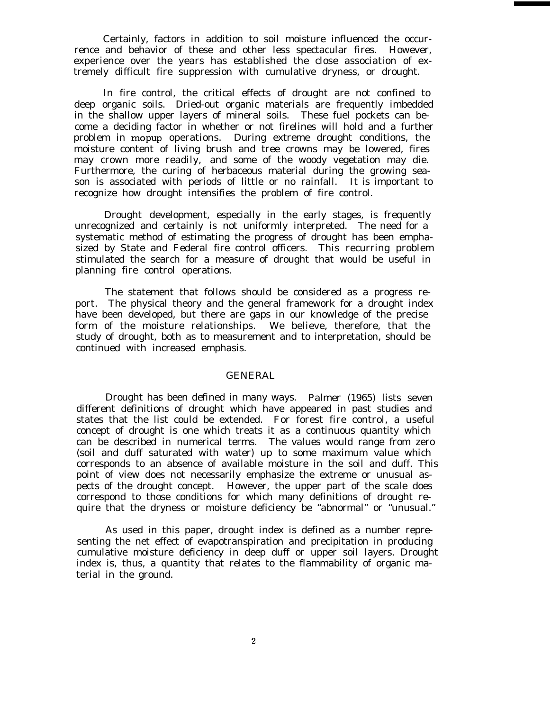Certainly, factors in addition to soil moisture influenced the occurrence and behavior of these and other less spectacular fires. However, experience over the years has established the close association of extremely difficult fire suppression with cumulative dryness, or drought.

In fire control, the critical effects of drought are not confined to deep organic soils. Dried-out organic materials are frequently imbedded in the shallow upper layers of mineral soils. These fuel pockets can become a deciding factor in whether or not firelines will hold and a further problem in mopup operations. During extreme drought conditions, the moisture content of living brush and tree crowns may be lowered, fires may crown more readily, and some of the woody vegetation may die. Furthermore, the curing of herbaceous material during the growing season is associated with periods of little or no rainfall. It is important to recognize how drought intensifies the problem of fire control.

Drought development, especially in the early stages, is frequently unrecognized and certainly is not uniformly interpreted. The need for a systematic method of estimating the progress of drought has been emphasized by State and Federal fire control officers. This recurring problem stimulated the search for a measure of drought that would be useful in planning fire control operations.

The statement that follows should be considered as a progress report. The physical theory and the general framework for a drought index have been developed, but there are gaps in our knowledge of the precise form of the moisture relationships. We believe, therefore, that the study of drought, both as to measurement and to interpretation, should be continued with increased emphasis.

#### GENERAL

Drought has been defined in many ways. Palmer (1965) lists seven different definitions of drought which have appeared in past studies and states that the list could be extended. For forest fire control, a useful concept of drought is one which treats it as a continuous quantity which can be described in numerical terms. The values would range from zero (soil and duff saturated with water) up to some maximum value which corresponds to an absence of available moisture in the soil and duff. This point of view does not necessarily emphasize the extreme or unusual aspects of the drought concept. However, the upper part of the scale does correspond to those conditions for which many definitions of drought require that the dryness or moisture deficiency be "abnormal" or "unusual."

As used in this paper, drought index is defined as a number representing the net effect of evapotranspiration and precipitation in producing cumulative moisture deficiency in deep duff or upper soil layers. Drought index is, thus, a quantity that relates to the flammability of organic material in the ground.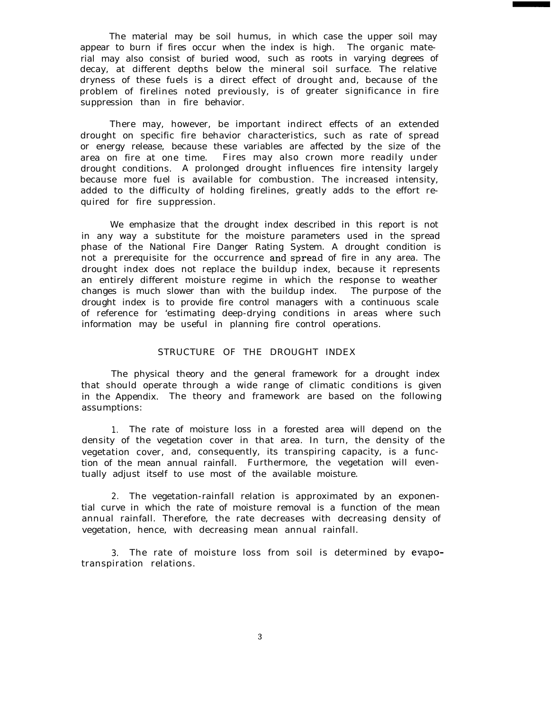The material may be soil humus, in which case the upper soil may appear to burn if fires occur when the index is high. The organic material may also consist of buried wood, such as roots in varying degrees of decay, at different depths below the mineral soil surface. The relative dryness of these fuels is a direct effect of drought and, because of the problem of firelines noted previously, is of greater significance in fire suppression than in fire behavior.

There may, however, be important indirect effects of an extended drought on specific fire behavior characteristics, such as rate of spread or energy release, because these variables are affected by the size of the area on fire at one time. Fires may also crown more readily under drought conditions. A prolonged drought influences fire intensity largely because more fuel is available for combustion. The increased intensity, added to the difficulty of holding firelines, greatly adds to the effort required for fire suppression.

We emphasize that the drought index described in this report is not in any way a substitute for the moisture parameters used in the spread phase of the National Fire Danger Rating System. A drought condition is not a prerequisite for the occurrence and spread of fire in any area. The drought index does not replace the buildup index, because it represents an entirely different moisture regime in which the response to weather changes is much slower than with the buildup index. The purpose of the drought index is to provide fire control managers with a continuous scale of reference for 'estimating deep-drying conditions in areas where such information may be useful in planning fire control operations.

### STRUCTURE OF THE DROUGHT INDEX

The physical theory and the general framework for a drought index that should operate through a wide range of climatic conditions is given in the Appendix. The theory and framework are based on the following assumptions:

1. The rate of moisture loss in a forested area will depend on the density of the vegetation cover in that area. In turn, the density of the vegetation cover, and, consequently, its transpiring capacity, is a function of the mean annual rainfall. Furthermore, the vegetation will eventually adjust itself to use most of the available moisture.

2. The vegetation-rainfall relation is approximated by an exponential curve in which the rate of moisture removal is a function of the mean annual rainfall. Therefore, the rate decreases with decreasing density of vegetation, hence, with decreasing mean annual rainfall.

3. The rate of moisture loss from soil is determined by evapotranspiration relations.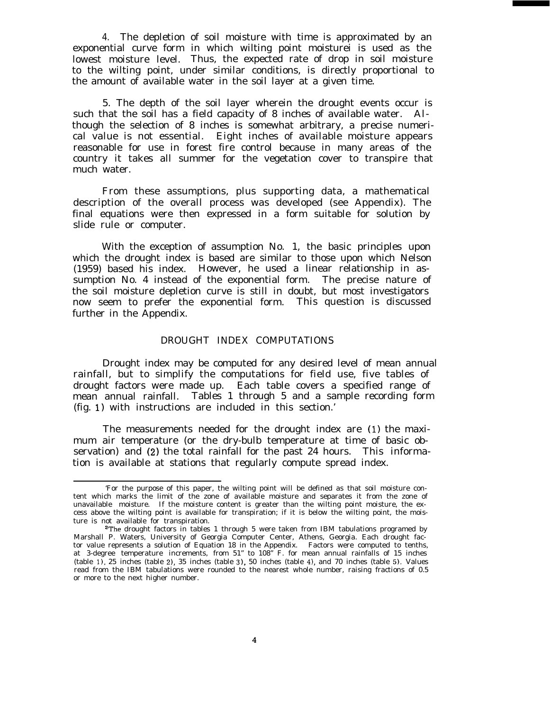4. The depletion of soil moisture with time is approximated by an exponential curve form in which wilting point moisturei is used as the lowest moisture level. Thus, the expected rate of drop in soil moisture to the wilting point, under similar conditions, is directly proportional to the amount of available water in the soil layer at a given time.

5. The depth of the soil layer wherein the drought events occur is such that the soil has a field capacity of 8 inches of available water. Although the selection of 8 inches is somewhat arbitrary, a precise numerical value is not essential. Eight inches of available moisture appears reasonable for use in forest fire control because in many areas of the country it takes all summer for the vegetation cover to transpire that much water.

From these assumptions, plus supporting data, a mathematical description of the overall process was developed (see Appendix). The final equations were then expressed in a form suitable for solution by slide rule or computer.

With the exception of assumption No. 1, the basic principles upon which the drought index is based are similar to those upon which Nelson (1959) based his index. However, he used a linear relationship in assumption No. 4 instead of the exponential form. The precise nature of the soil moisture depletion curve is still in doubt, but most investigators now seem to prefer the exponential form. This question is discussed further in the Appendix.

#### DROUGHT INDEX COMPUTATIONS

Drought index may be computed for any desired level of mean annual rainfall, but to simplify the computations for field use, five tables of drought factors were made up. Each table covers a specified range of mean annual rainfall. Tables 1 through 5 and a sample recording form (fig. 1) with instructions are included in this section.'

The measurements needed for the drought index are (1) the maximum air temperature (or the dry-bulb temperature at time of basic observation) and (2) the total rainfall for the past 24 hours. This information is available at stations that regularly compute spread index.

<sup>&#</sup>x27;For the purpose of this paper, the wilting point will be defined as that soil moisture content which marks the limit of the zone of available moisture and separates it from the zone of unavailable moisture. If the moisture content is greater than the wilting point moisture, the excess above the wilting point is available for transpiration; if it is below the wilting point, the moisture is not available for transpiration.

<sup>&</sup>lt;sup>2</sup>The drought factors in tables 1 through 5 were taken from IBM tabulations programed by Marshall P. Waters, University of Georgia Computer Center, Athens, Georgia. Each drought factor value represents a solution of Equation 18 in the Appendix. Factors were computed to tenths, at 3-degree temperature increments, from 51" to 108" F. for mean annual rainfalls of 15 inches  $(table 1)$ , 25 inches (table 2), 35 inches (table 3), 50 inches (table 4), and 70 inches (table 5). Values read from the IBM tabulations were rounded to the nearest whole number, raising fractions of 0.5 or more to the next higher number.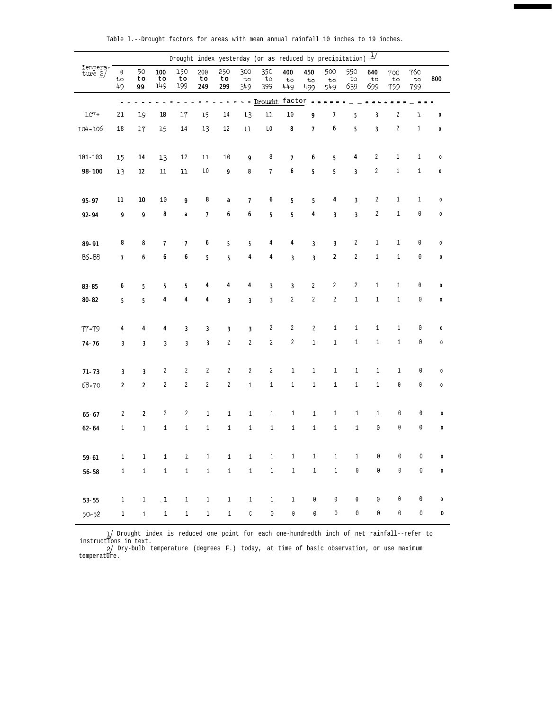|                       |                           |                               |                  | Drought index yesterday (or as reduced by precipitation) |                  |                             |                             |                             |                             |                             |                  |                  | $\frac{1}{2}$               |                  |                         |           |
|-----------------------|---------------------------|-------------------------------|------------------|----------------------------------------------------------|------------------|-----------------------------|-----------------------------|-----------------------------|-----------------------------|-----------------------------|------------------|------------------|-----------------------------|------------------|-------------------------|-----------|
| Tempera-<br>ture $2/$ | $\mathbb O$<br>to<br>49   | 50<br>$\boldsymbol{to}$<br>99 | 100<br>to<br>149 | 150<br>to<br>199                                         | 200<br>to<br>249 | 250<br>to<br>299            | 300<br>to<br>349            | 350<br>to<br>399            | 400<br>to<br>449            | 450<br>to<br>499            | 500<br>to<br>549 | 550<br>to<br>639 | 640<br>to<br>699            | 700<br>to<br>759 | 760<br>$t \circ$<br>799 | 800       |
|                       | $\overline{a}$            |                               |                  |                                                          |                  |                             |                             | - - Drought factor -        |                             |                             |                  |                  |                             |                  |                         |           |
| $107 +$               | 21                        | 19                            | 18               | 17                                                       | 15               | 14                          | L <sub>3</sub>              | 11                          | $1\,0$                      | $\pmb{9}$                   | 7                | 5                | $\boldsymbol{\textbf{3}}$   | 2                | ı                       | $\pmb{0}$ |
| 104-106               | 18                        | 17                            | 15               | 14                                                       | 13               | 12                          | $\mathsf{L}\mathsf{L}$      | L0                          | 8                           | $\pmb{7}$                   | 6                | 5                | $\boldsymbol{\mathfrak{z}}$ | $\sqrt{2}$       | $1\,$                   | $\pmb{0}$ |
|                       |                           |                               |                  |                                                          |                  |                             |                             |                             |                             |                             |                  |                  |                             |                  |                         |           |
| 101-103               | 15                        | 14                            | 13               | 12                                                       | 11               | $10\,$                      | $\boldsymbol{g}$            | 8                           | 7                           | 6                           | $\bf 5$          | 4                | $\boldsymbol{2}$            | $1\,$            | $\mathbf{1}$            | $\pmb{0}$ |
| 98-100                | 13                        | 12                            | 11               | $11\,$                                                   | L0               | $\pmb{9}$                   | 8                           | 7                           | 6                           | $\sqrt{5}$                  | $\bf 5$          | 3                | 2                           | $\mathbf{1}$     | $\mathbf{1}$            | $\pmb{0}$ |
|                       |                           |                               |                  |                                                          |                  |                             |                             |                             |                             |                             |                  |                  |                             |                  |                         |           |
| $95 - 97$             | 11                        | 10                            | $10\,$           | 9                                                        | 8                | $\boldsymbol{a}$            | 7                           | 6                           | 5                           | 5                           | 4                | $\bf 3$          | 2                           | $\mathbf{1}$     | $\mathbf{1}$            | $\pmb{0}$ |
| $92 - 94$             | $\pmb{9}$                 | 9                             | 8                | $\pmb{a}$                                                | $\pmb{7}$        | 6                           | 6                           | $\sqrt{5}$                  | 5                           | $\boldsymbol{4}$            | $\bf 3$          | $\bf 3$          | $\overline{c}$              | $1\,$            | $\mathbb O$             | $\pmb{0}$ |
|                       |                           |                               |                  |                                                          |                  |                             |                             |                             |                             |                             |                  |                  |                             |                  |                         |           |
| 89-91                 | 8                         | 8                             | 7                | $\pmb{7}$                                                | $\pmb{6}$        | $5\phantom{.0}$             | $\sqrt{5}$                  | 4                           | 4                           | $\sqrt{3}$                  | 3                | 2                | $\,1$                       | $\mathbf{1}$     | $\mathbb O$             | $\pmb{0}$ |
| 86-88                 | $\boldsymbol{7}$          | 6                             | 6                | 6                                                        | 5                | 5                           | 4                           | 4                           | $\bf 3$                     | $\boldsymbol{\mathfrak{z}}$ | 2                | 2                | $\,1$                       | $\,1\,$          | 0                       | $\pmb{0}$ |
|                       |                           |                               |                  |                                                          |                  |                             |                             |                             |                             |                             |                  |                  |                             |                  |                         |           |
| $83 - 85$             | $\pmb{6}$                 | 5                             | 5                | $\sqrt{5}$                                               | $\boldsymbol{4}$ | 4                           | 4                           | $\boldsymbol{\mathfrak{z}}$ | $\boldsymbol{\mathfrak{z}}$ | $\sqrt{2}$                  | $\boldsymbol{2}$ | 2                | $\mathbf{1}$                | $\mathbf{1}$     | 0                       | 0         |
| $80 - 82$             | $5\phantom{.0}$           | 5                             | 4                | 4                                                        | 4                | $\boldsymbol{\mathfrak{z}}$ | $\boldsymbol{\mathfrak{z}}$ | $\boldsymbol{\mathfrak{z}}$ | $\sqrt{2}$                  | $\sqrt{2}$                  | 2                | $\mathbf{1}$     | $1\,$                       | $\,1\,$          | $\mathbb O$             | 0         |
|                       |                           |                               |                  |                                                          |                  |                             |                             |                             |                             |                             |                  |                  |                             |                  |                         |           |
| $77 - 79$             | 4                         | 4                             | 4                | $\pmb{3}$                                                | 3                | 3                           | 3                           | $\boldsymbol{2}$            | 2                           | $\overline{2}$              | $\mathbf{1}$     | $\mathbf{1}$     | $1\,$                       | $\mathbf{1}$     | 0                       | 0         |
| $74 - 76$             | $\pmb{3}$                 | $\boldsymbol{\mathsf{3}}$     | $\bf{3}$         | $\bf 3$                                                  | $\bf 3$          | 2                           | 2                           | $\boldsymbol{2}$            | $\sqrt{2}$                  | $\,1\,$                     | $1\,$            | $1\,$            | $1\,$                       | $1\,$            | $\mathbb O$             | $\pmb{0}$ |
|                       |                           |                               |                  |                                                          |                  |                             |                             |                             |                             |                             |                  |                  |                             |                  |                         |           |
| $71 - 73$             | $\boldsymbol{\mathsf{3}}$ | $\boldsymbol{\mathsf{3}}$     | 2                | 2                                                        | $\boldsymbol{2}$ | $\boldsymbol{2}$            | $\overline{2}$              | $\boldsymbol{2}$            | $1\,$                       | $\mathbf{1}$                | $\mathbf{1}$     | $1\,$            | $1\,$                       | $\mathbf{1}$     | 0                       | 0         |
| 68-70                 | $\pmb{2}$                 | $\boldsymbol{2}$              | 2                | $\boldsymbol{2}$                                         | $\sqrt{2}$       | 2                           | $\,1$                       | $\,1\,$                     | $\,1$                       | $1\,$                       | $\,1$            | $1\,$            | $\,1\,$                     | $\mathbb O$      | $\mathbb O$             | 0         |
|                       |                           |                               |                  |                                                          |                  |                             |                             |                             |                             |                             |                  |                  |                             |                  |                         |           |
| $65 - 67$             | 2                         | 2                             | 2                | 2                                                        | $\mathbf{1}$     | $1\,$                       | $\mathbf{1}$                | $\mathbf{1}$                | $\mathbf{1}$                | $\mathbf{1}$                | $\mathbf{1}$     | $\mathbf{1}$     | $1\,$                       | $\mathbb O$      | 0                       | $\pmb{0}$ |
| $62 - 64$             | $\mathbf{1}$              | $\mathbf{1}$                  | $1\,$            | $1\,$                                                    | $1\,$            | $1\,$                       | $\mathbf{1}$                | $1\,$                       | $1\,$                       | $1\,$                       | $1\,$            | $1\,$            | $\mathbb O$                 | $\mathbb O$      | $\mathbb O$             | $\pmb{0}$ |
|                       |                           |                               |                  |                                                          |                  |                             |                             |                             |                             |                             |                  |                  |                             |                  |                         |           |
| $59 - 61$             | $\mathbf{1}$              | $\pmb{1}$                     | $1\,$            | $\mathbf{1}$                                             | $\mathbf{1}$     | $1\,$                       | $\mathbf{1}$                | $\,1$                       | $1\,$                       | $\,1\,$                     | $1\,$            | $\,1$            | $\mathbb O$                 | 0                | 0                       | 0         |
| $56 - 58$             | $1\,$                     | $1\,$                         | $\mathbf{1}$     | $1\,$                                                    | 1                | 1                           | $\mathbf{1}$                | $1\,$                       | $1\,$                       | $1\,$                       | $1\,$            | $\mathbb O$      | $\mathbb O$                 | $\mathbb O$      | $\mathsf{O}\xspace$     | $\pmb{0}$ |
|                       |                           |                               |                  |                                                          |                  |                             |                             |                             |                             |                             |                  |                  |                             |                  |                         |           |
| $53 - 55$             | $\mathbf{1}$              | $\mathbf{1}$                  | $\cdot$ 1        | $\mathbf{1}$                                             | $\mathbf{1}$     | $\mathbf{1}$                | $\mathbf{1}$                | $\mathbf{1}$                | $\,1$                       | $\mathbb O$                 | 0                | $\mathbb O$      | $\mathbb O$                 | $\mathbb O$      | 0                       | $\pmb{0}$ |
| $50 - 52$             | $1\,$                     | $\mathbf{1}$                  | $\,1$            | $\mathbf{1}$                                             | 1                | $\mathbf{1}$                | $\mathbb C$                 | $\mathbb O$                 | $\mathbb O$                 | $\mathbb O$                 | $\mathbb O$      | $\mathbb O$      | $\mathbb O$                 | $\mathbb O$      | $\mathbf 0$             | $\bf{0}$  |

I\_/ Drought index is reduced one point for each one-hundredth inch of net rainfall--refer to instructions in text. 2J Dry-bulb temperature (degrees F.) today, at time of basic observation, or use maximum

temperature.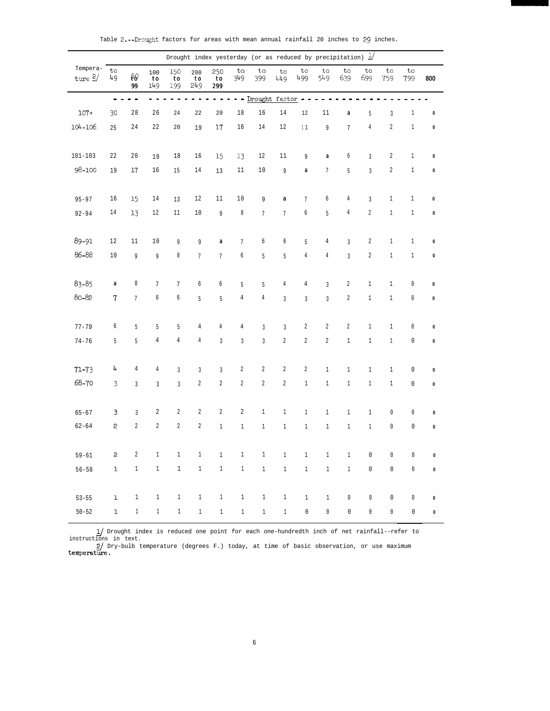|                       |                  |                                                |                  |                  |                  | Drought index yesterday (or as reduced by precipitation) $\frac{1}{2}$                                                 |                |                        |                  |                  |                  |                  |                  |                  |              |           |
|-----------------------|------------------|------------------------------------------------|------------------|------------------|------------------|------------------------------------------------------------------------------------------------------------------------|----------------|------------------------|------------------|------------------|------------------|------------------|------------------|------------------|--------------|-----------|
| Tempera-<br>ture $2/$ | to<br>49         | $\overline{\mathbf{t}}\mathbf{\partial}$<br>99 | 100<br>to<br>149 | 150<br>to<br>199 | 200<br>to<br>249 | 250<br>to<br>299                                                                                                       | ta<br>349      | to<br>399              | to<br>449        | to<br>499        | to<br>549        | to<br>639        | to<br>699        | to<br>759        | to<br>799    | 800       |
|                       |                  | ----                                           |                  |                  |                  | $\frac{1}{2} \left( \frac{1}{2} \right) \frac{1}{2} \left( \frac{1}{2} \right) \frac{1}{2} \left( \frac{1}{2} \right)$ |                | - - Drought factor - - |                  |                  |                  |                  |                  |                  |              |           |
| $107+$                | 30               | 28                                             | 26               | 24               | 22               | 20                                                                                                                     | 18             | 16                     | 14               | $12\,$           | 11               | $\pmb{a}$        | 5                | $\mathbf{3}$     | $\mathbf{1}$ | $\pmb{0}$ |
| 104-106               | 25               | 24                                             | 22               | 20               | 19               | 17                                                                                                                     | 16             | 14                     | $12\,$           | 11               | $\overline{9}$   | $\overline{7}$   | $\,4$            | $\sqrt{2}$       | $1\,$        | $\pmb{0}$ |
| $101 - 103$           | 22               | 20                                             | 19               | 18               | 16               | 15                                                                                                                     | 13             | 12                     | 11               | 9                | $\boldsymbol{a}$ | 6                | $\mathbf{3}$     | $\boldsymbol{2}$ | $\mathbf{1}$ | $\pmb{0}$ |
| 98-100                | 19               | $17\,$                                         | $16\,$           | 15               | $14\,$           | 13                                                                                                                     | $11\,$         | $10\,$                 | 9                | a                | $\overline{7}$   | 5                | $\overline{3}$   | $\sqrt{2}$       | $1\,$        | $\pmb{0}$ |
| $95 - 97$             | 16               | 15                                             | $14\,$           | 13               | 12               | $11\,$                                                                                                                 | $1\,0$         | 9                      | $\boldsymbol{a}$ | $7\phantom{.}$   | 6                | 4                | $\overline{3}$   | $\mathbf{1}$     | $\mathbf{1}$ | $\pmb{0}$ |
| $92 - 94$             | 14               | 13                                             | 12               | $11\,$           | $10\,$           | 9                                                                                                                      | $\,8\,$        | 7                      | $7\phantom{.0}$  | 6                | 5                | 4                | $\sqrt{2}$       | $1\,$            | $1\,$        | $\pmb{0}$ |
| 89-91                 | 12               | $11\,$                                         | $1\,0$           | 9                | 9                | a                                                                                                                      | $\overline{7}$ | 6                      | 6                | 5                | $\overline{4}$   | $\overline{3}$   | $\boldsymbol{2}$ | $1\,$            | $\mathbf{1}$ | $\pmb{0}$ |
| 86-88                 | $10\,$           | 9                                              | 9                | 8                | $7\phantom{.}$   | $7\phantom{.}$                                                                                                         | $\sqrt{6}$     | 5                      | 5                | 4                | $\,4$            | $\overline{3}$   | $\sqrt{2}$       | $1\,$            | $\mathbf{1}$ | $\pmb{0}$ |
| 83-85                 | $\boldsymbol{a}$ | 8                                              | $\overline{7}$   | $\overline{7}$   | 6                | 6                                                                                                                      | 5              | 5                      | $\overline{4}$   | 4                | $\mathbf{3}$     | 2                | $\,1\,$          | $\mathbf{1}$     | $\mathbb O$  | $\pmb{0}$ |
| 80-82                 | $\mathbf 7$      | $\overline{7}$                                 | 6                | б                | 5                | 5                                                                                                                      | $\,4$          | $\,4$                  | $\overline{3}$   | $\overline{3}$   | $\overline{3}$   | $\boldsymbol{2}$ | $\,1\,$          | $1\,$            | $\mathbb O$  | $\pmb{0}$ |
| $77 - 79$             | 6                | 5                                              | 5                | 5                | 4                | 4                                                                                                                      | $\,4$          | $\overline{3}$         | $\overline{3}$   | $\boldsymbol{2}$ | $\sqrt{2}$       | $\overline{2}$   | $\,1$            | $\mathbf{1}$     | $\mathbb O$  | $\pmb{0}$ |
| $74 - 76$             | 5                | 5                                              | $\overline{4}$   | $\overline{4}$   | $\,4$            | $\mathfrak{Z}$                                                                                                         | $\overline{3}$ | $\overline{3}$         | $\sqrt{2}$       | $\overline{2}$   | $\overline{2}$   | $1\,$            | $\,1\,$          | $1\,$            | $\mathbb O$  | $\pmb{0}$ |
| $71 - 73$             | 4                | $\overline{4}$                                 | 4                | 3                | $\mathbf{3}$     | $\mathbf{3}$                                                                                                           | $\sqrt{2}$     | $\overline{2}$         | $\boldsymbol{2}$ | $\overline{2}$   | $\,1\,$          | $\mathbf{1}$     | $\,1\,$          | $\mathbf{1}$     | $\mathbb O$  | $\pmb{0}$ |
| 68-70                 | 3                | $\mathfrak{Z}$                                 | $\overline{3}$   | $\overline{3}$   | $\sqrt{2}$       | $\overline{2}$                                                                                                         | $\sqrt{2}$     | $\overline{2}$         | $\sqrt{2}$       | $1\,$            | $\,1\,$          | $\,1\,$          | $1\,$            | $\,1\,$          | $\mathbb O$  | $\pmb{0}$ |
| $65 - 67$             | $\mathbf{3}$     | $\overline{3}$                                 | $\boldsymbol{2}$ | 2                | $\overline{c}$   | $\sqrt{2}$                                                                                                             | $\sqrt{2}$     | $\mathbf{1}$           | $\mathbf{1}$     | $1\,$            | $\,1$            | $\,1$            | $\,1\,$          | $\mathbb O$      | $\mathbb O$  | $\pmb{0}$ |
| $62 - 64$             | 2                | $\sqrt{2}$                                     | $\boldsymbol{2}$ | $\overline{2}$   | $\sqrt{2}$       | $\,1\,$                                                                                                                | $\,1\,$        | $1\,$                  | $1\,$            | $1\,$            | $\,1$            | $\,1$            | $1\,$            | $\mathbb O$      | $\mathbb O$  | $\pmb{0}$ |
| $59 - 61$             | $\mathbf{c}$     | $\sqrt{2}$                                     | $\,1$            | $\,1\,$          | $\,1$            | $1\,$                                                                                                                  | $\,1$          | $\mathbf{1}$           | $1\,$            | $1\,$            | $1\,$            | $1\,$            | 0                | $\mathbb O$      | 0            | $\pmb{0}$ |
| $56 - 58$             | ı                | $\mathbf{1}$                                   | $1\,$            | $1\,$            | $\mathbf{1}$     | $1$ $\,$                                                                                                               | $1$ $\,$       | $1\,$                  | $\mathbf{1}$     | $\mathbf{1}$     | $1\,$            | $1\,$            | $\mathbb O$      | $\mathbb O$      | $\mathbb O$  | $\pmb{0}$ |
| $53 - 55$             | ı                | $\mathbf{1}$                                   | $1\,$            | $\mathbf{1}$     | $\mathbf{1}$     | $1\,$                                                                                                                  | $\mathbf{1}$   | 1                      | 1                | $\mathbf{1}$     | $\mathbf{1}$     | $\mathbb O$      | $\mathbb O$      | $\mathbb O$      | $\mathbb O$  | $\pmb{0}$ |
| $50 - 52$             | $\mathbf{1}$     | $\mathbf{1}$                                   | $\mathbf{1}$     | $\mathbf{1}$     | $\mathbf{1}$     | $\mathbf{1}$                                                                                                           | $1 -$          | 1                      | 1                | $\mathbf 0$      | $\mathbb O$      | $\mathbb O$      | $\mathbb O$      | $\mathbb O$      | 0            | $\pmb{0}$ |

Table  $2.$ --Drought factors for areas with mean annual rainfall 20 inches to 29 inches.

1) Drought index is reduced one point for each one-hundredth inch of net rainfall--refer to instructions in text.<br>
2) Dry-bulb temperature (degrees F.) today, at time of basic observation, or use maximum temperature.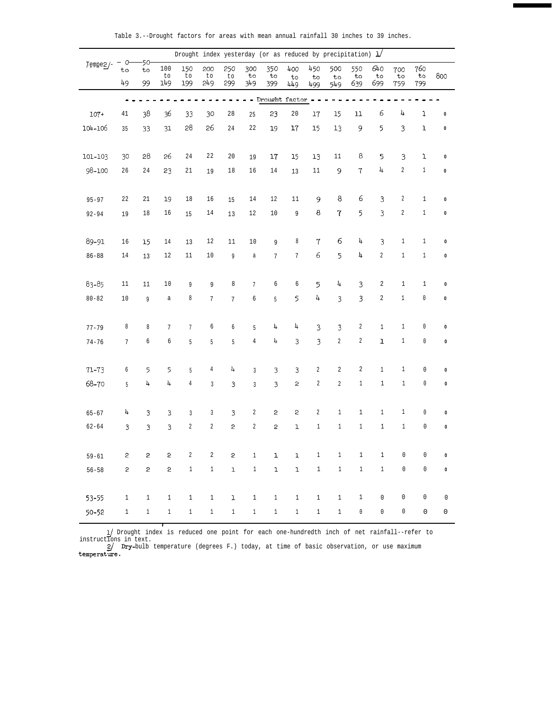|            |                |              |                | Drought index yesterday (or as reduced by precipitation) $1/2$ |                  |              |                  |                        |                  |                  |                |                  |                  |                  |                     |                     |
|------------|----------------|--------------|----------------|----------------------------------------------------------------|------------------|--------------|------------------|------------------------|------------------|------------------|----------------|------------------|------------------|------------------|---------------------|---------------------|
| $Tempe2/-$ | O<br>to        | 50<br>to     | 100<br>to      | 150<br>to                                                      | 200<br>to        | 250<br>to    | 300<br>to        | 350<br>to              | 400<br>to        | 450<br>to        | 500<br>to      | 550<br>to        | 640<br>to        | 700<br>to        | 760<br>to           | 800                 |
|            | 49             | 99           | 149            | 199                                                            | 249              | 299          | 349              | 399                    | 449              | 499              | 549            | 639              | 699              | 759              | 799                 |                     |
|            |                |              |                |                                                                |                  |              |                  | - - Drought factor - - |                  |                  |                |                  |                  |                  |                     |                     |
| $107+$     | 41             | 38           | 36             | 33                                                             | 30               | 28           | 25               | 23                     | 20               | 17               | 15             | $11\,$           | 6                | 4                | 1                   | $\pmb{0}$           |
| 104-106    | 35             | 33           | 31             | 28                                                             | 26               | 24           | 22               | 19                     | 17               | 15               | 13             | 9                | 5                | 3                | $\mathbf 1$         | $\pmb{0}$           |
| 101-103    | 30             | 28           | 26             | $2\,4$                                                         | 22               | 20           | 19               | 17                     | 15               | 13               | 11             | 8                | 5                | 3                | $1\,$               | $\pmb{0}$           |
| 98-100     | 26             | 24           | 23             | 21                                                             | 19               | 18           | $16\,$           | $14\,$                 | 13               | 11               | $\mathsf 9$    | $\tau$           | 4                | $\sqrt{2}$       | $\mathbf{1}$        | $\pmb{0}$           |
|            |                |              |                |                                                                |                  |              |                  |                        |                  |                  |                |                  |                  |                  |                     |                     |
| $95 - 97$  | 22             | 21           | 19             | $18\,$                                                         | 16               | 15           | 14               | 12                     | 11               | 9                | $\bf 8$        | 6                | 3                | $\boldsymbol{2}$ | $\mathbf{1}$        | $\pmb{0}$           |
| $92 - 94$  | 19             | 18           | 16             | 15                                                             | $14\,$           | 13           | 12               | 10                     | 9                | $\boldsymbol{8}$ | $\overline{1}$ | 5                | 3                | $\sqrt{2}$       | $1\,$               | $\pmb{0}$           |
|            |                |              |                |                                                                |                  |              |                  |                        |                  |                  |                |                  |                  |                  |                     |                     |
| 89-91      | 16             | 15           | 14             | 13                                                             | 12               | 11           | 10               | 9                      | 8                | $\sqrt{7}$       | 6              | 4                | $\mathbf{3}$     | $\mathbf{1}$     | $\mathbf 1$         | $\pmb{0}$           |
| $86 - 88$  | 14             | 13           | 12             | 11                                                             | 10               | 9            | $\mathsf a$      | 7                      | $\overline{7}$   | $\epsilon$       | 5              | 4                | $\boldsymbol{2}$ | $\,1\,$          | $\mathbf{1}$        | $\pmb{0}$           |
| 83-85      | 11             | $11\,$       | $1\,0$         | 9                                                              | 9                | 8            | $\overline{7}$   | 6                      | 6                | 5                | 4              | 3                | 2                | $\mathbf{1}$     | $\mathbf{1}$        | $\pmb{0}$           |
| $80 - 82$  | 10             | 9            | a              | 8                                                              | $\boldsymbol{7}$ | 7            | 6                | 5                      | 5                | 4                | $\mathbf{3}$   | 3                | $\overline{c}$   | $1\,$            | $\mathbb O$         | $\pmb{0}$           |
|            |                |              |                |                                                                |                  |              |                  |                        |                  |                  |                |                  |                  |                  |                     |                     |
| $77 - 79$  | 8              | 8            | 7              | 7                                                              | 6                | 6            | 5                | 4                      | 4                | 3                | 3              | 2                | $\mathbf{1}$     | $\mathbf{1}$     | $\mathbb O$         | $\pmb{0}$           |
| $74 - 76$  | $\overline{7}$ | 6            | 6              | 5                                                              | 5                | 5            | $\overline{4}$   | 4                      | 3                | 3                | $2\,$          | $\boldsymbol{2}$ | $\mathbf 1$      | $1\,$            | $\mathbb O$         | $\pmb{0}$           |
| $71 - 73$  | 6              | 5            | 5              | 5                                                              | $\,4$            | 4            | $\overline{3}$   | 3                      | 3                | $\boldsymbol{2}$ | 2              | $\overline{2}$   | $\mathbf{1}$     | $\mathbf{1}$     | $\mathbf 0$         | $\pmb{0}$           |
| 68-70      | $\overline{5}$ | 4            | 4              | $\overline{4}$                                                 | $\mathbf{3}$     | 3            | $\overline{3}$   | 3                      | $\mathsf{S}$     | $\sqrt{2}$       | $\overline{2}$ | $\mathbf{1}$     | $\,1\,$          | $\mathbf{1}$     | $\mathbb O$         | $\pmb{0}$           |
|            |                |              |                |                                                                |                  |              |                  |                        |                  |                  |                |                  |                  |                  |                     |                     |
| $65 - 67$  | 4              | 3            | 3              | 3                                                              | $\mathbf{3}$     | $\mathbf{3}$ | $\boldsymbol{2}$ | 2                      | $\boldsymbol{2}$ | $\sqrt{2}$       | $\mathbf{1}$   | $\mathbf{1}$     | $1\,$            | $\mathbf{1}$     | $\mathbb O$         | $\pmb{0}$           |
| $62 - 64$  | $\mathbf{3}$   | 3            | $\mathbf{3}$   | $\boldsymbol{2}$                                               | $\sqrt{2}$       | $\mathsf{S}$ | $\overline{2}$   | 2                      | $\mathtt{l}$     | $\mathbf{1}$     | $\mathbf{1}$   | $\mathbf{1}$     | $1\,$            | $\mathbf{1}$     | $\mathbb O$         | $\pmb{0}$           |
|            |                |              |                |                                                                |                  |              |                  |                        |                  |                  |                |                  |                  |                  |                     |                     |
| $59 - 61$  | $\mathbf{c}$   | $\mathbf{2}$ | 2              | $\sqrt{2}$                                                     | $\sqrt{2}$       | $\mathsf{S}$ | $\,1$            | $\mathbf{1}$           | $\mathbf{1}$     | $\,1\,$          | $1\,$          | $\,1$            | $\,1\,$          | $\mathbb O$      | $\mathsf{O}\xspace$ | $\pmb{0}$           |
| $56 - 58$  | $\overline{c}$ | $\mathbf{c}$ | $\overline{2}$ | $\,1$                                                          | $\,1$            | $\mathtt{l}$ | $1\,$            | $\mathbf 1$            | $\mathtt{l}$     | $\,1$            | $\,1$          | $\,1\,$          | $\,1$            | $\mathbb O$      | $\mathbb O$         | $\pmb{0}$           |
| 53-55      | $1\,$          | $\mathbf{1}$ | $\mathbf{1}$   | $\,1$                                                          | $\mathbf{1}$     | $\mathbf 1$  | $1\,$            | $\mathbf{1}$           | $1\,$            | $1\,$            | $1\,$          | $\mathbf{1}$     | $\mathbb O$      | $\mathbb O$      | $\mathbb O$         | $\mathbb O$         |
| $50 - 52$  | $\,1$          | $\,1$        | $1\,$          | $\,1$                                                          | $\,1$            | $1\,$        | $1\,$            | $\mathbf{1}$           | $\,1$            | $\,1$            | $\,1$          | 0                | $\mathbb O$      | $\mathbb O$      | $\mathsf{O}\xspace$ | $\mathsf{O}\xspace$ |
|            |                |              |                |                                                                |                  |              |                  |                        |                  |                  |                |                  |                  |                  |                     |                     |

Table 3.--Drought factors for areas with mean annual rainfall 30 inches to 39 inches.

1/ Drought index is reduced one point for each one-hundredth inch of net rainfall--refer to instructions in text.

2/ Dry-bulb temperature (degrees F.) today, at time of basic observation, or use maximum<br>temperature.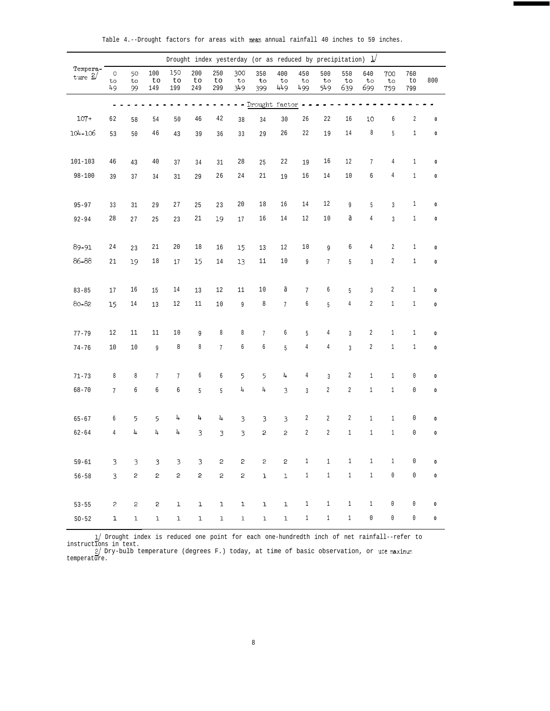|                      |                     |                |                                                                                                                                                                                                                                                                                                                                                                                                                                                          |                  |                  |                                                                                                                                                                                                                                                                                                                                                                                                                                                          | Drought index yesterday (or as reduced by precipitation) $\frac{1}{2}$ |                                                                                                                                                                                                                                                                                                                                                                                                                                                          |                  |                  |                  |                  |                  |                  |                  |           |
|----------------------|---------------------|----------------|----------------------------------------------------------------------------------------------------------------------------------------------------------------------------------------------------------------------------------------------------------------------------------------------------------------------------------------------------------------------------------------------------------------------------------------------------------|------------------|------------------|----------------------------------------------------------------------------------------------------------------------------------------------------------------------------------------------------------------------------------------------------------------------------------------------------------------------------------------------------------------------------------------------------------------------------------------------------------|------------------------------------------------------------------------|----------------------------------------------------------------------------------------------------------------------------------------------------------------------------------------------------------------------------------------------------------------------------------------------------------------------------------------------------------------------------------------------------------------------------------------------------------|------------------|------------------|------------------|------------------|------------------|------------------|------------------|-----------|
| Tempera-<br>$true$ 2 | $\circ$<br>to<br>49 | 50<br>to<br>99 | 100<br>to<br>149                                                                                                                                                                                                                                                                                                                                                                                                                                         | 150<br>to<br>199 | 200<br>to<br>249 | 250<br>to<br>299                                                                                                                                                                                                                                                                                                                                                                                                                                         | 300<br>to<br>349                                                       | 350<br>to<br>399                                                                                                                                                                                                                                                                                                                                                                                                                                         | 400<br>to<br>449 | 450<br>to<br>499 | 500<br>to<br>549 | 550<br>to<br>639 | 640<br>to<br>699 | 700<br>to<br>759 | 760<br>to<br>799 | 800       |
|                      | $\overline{a}$      |                |                                                                                                                                                                                                                                                                                                                                                                                                                                                          |                  |                  | $\blacksquare$                                                                                                                                                                                                                                                                                                                                                                                                                                           |                                                                        | - - Drought factor - -                                                                                                                                                                                                                                                                                                                                                                                                                                   |                  |                  |                  |                  |                  |                  |                  |           |
| $107+$               | 62                  | 58             | 54                                                                                                                                                                                                                                                                                                                                                                                                                                                       | 50               | 46               | 42                                                                                                                                                                                                                                                                                                                                                                                                                                                       | 38                                                                     | 34                                                                                                                                                                                                                                                                                                                                                                                                                                                       | 30               | 26               | 22               | 16               | <b>LO</b>        | $6\,$            | $\boldsymbol{2}$ | $\pmb{0}$ |
| 104-106              | 53                  | 50             | $4\,6\,$                                                                                                                                                                                                                                                                                                                                                                                                                                                 | 43               | 39               | 36                                                                                                                                                                                                                                                                                                                                                                                                                                                       | 33                                                                     | 29                                                                                                                                                                                                                                                                                                                                                                                                                                                       | 26               | 22               | 19               | 14               | 8                | 5                | $1\,$            | $\pmb{0}$ |
| $101 - 103$          | 46                  | 43             | $40\,$                                                                                                                                                                                                                                                                                                                                                                                                                                                   | 37               | 34               | 31                                                                                                                                                                                                                                                                                                                                                                                                                                                       | 28                                                                     | 25                                                                                                                                                                                                                                                                                                                                                                                                                                                       | 22               | 19               | 16               | 12               | $7\phantom{.}$   | $\overline{4}$   | $1\,$            | $\pmb{0}$ |
| $98 - 100$           | 39                  | 37             | 34                                                                                                                                                                                                                                                                                                                                                                                                                                                       | 31               | 29               | 26                                                                                                                                                                                                                                                                                                                                                                                                                                                       | 24                                                                     | 21                                                                                                                                                                                                                                                                                                                                                                                                                                                       | 19               | 16               | 14               | 10               | 6                | 4                | $\,1\,$          | $\pmb{0}$ |
| $95 - 97$            | 33                  | 31             | 29                                                                                                                                                                                                                                                                                                                                                                                                                                                       | 27               | 25               | 23                                                                                                                                                                                                                                                                                                                                                                                                                                                       | $20\,$                                                                 | 18                                                                                                                                                                                                                                                                                                                                                                                                                                                       | 16               | 14               | 12               | 9                | 5                | $\overline{3}$   | $1\,$            | $\pmb{0}$ |
| $92 - 94$            | 28                  | 27             | 25                                                                                                                                                                                                                                                                                                                                                                                                                                                       | 23               | 21               | 19                                                                                                                                                                                                                                                                                                                                                                                                                                                       | 17                                                                     | 16                                                                                                                                                                                                                                                                                                                                                                                                                                                       | 14               | 12               | 10               | a                | 4                | $\overline{3}$   | $1\,$            | $\pmb{0}$ |
| 89-91                | $2\,4$              | 23             | 21                                                                                                                                                                                                                                                                                                                                                                                                                                                       | $20\,$           | $18\,$           | 16                                                                                                                                                                                                                                                                                                                                                                                                                                                       | 15                                                                     | 13                                                                                                                                                                                                                                                                                                                                                                                                                                                       | 12               | 10               | 9                | 6                | $\overline{4}$   | $\boldsymbol{2}$ | $1\,$            | $\pmb{0}$ |
| 86-88                | 21                  | 19             | 18                                                                                                                                                                                                                                                                                                                                                                                                                                                       | 17               | 15               | 14                                                                                                                                                                                                                                                                                                                                                                                                                                                       | 13                                                                     | 11                                                                                                                                                                                                                                                                                                                                                                                                                                                       | 10               | 9                | $\overline{7}$   | $5\,$            | $\overline{3}$   | $\boldsymbol{2}$ | $\,1\,$          | $\pmb{0}$ |
| $83 - 85$            | 17                  | 16             | 15                                                                                                                                                                                                                                                                                                                                                                                                                                                       | $14\,$           | 13               | 12                                                                                                                                                                                                                                                                                                                                                                                                                                                       | 11                                                                     | 10                                                                                                                                                                                                                                                                                                                                                                                                                                                       | a                | $7\phantom{.0}$  | $\boldsymbol{6}$ | 5                | $\mathfrak{Z}$   | $\sqrt{2}$       | $\mathbf{1}$     | $\pmb{0}$ |
| 80-82                | 15                  | 14             | 13                                                                                                                                                                                                                                                                                                                                                                                                                                                       | 12               | 11               | $10$                                                                                                                                                                                                                                                                                                                                                                                                                                                     | 9                                                                      | 8                                                                                                                                                                                                                                                                                                                                                                                                                                                        | $7\overline{ }$  | 6                | $\overline{5}$   | $\,4$            | $\overline{2}$   | $\mathbf{1}$     | $\mathbf{1}$     | $\pmb{0}$ |
| $77 - 79$            | 12                  | 11             | 11                                                                                                                                                                                                                                                                                                                                                                                                                                                       | $10$             | 9                | 8                                                                                                                                                                                                                                                                                                                                                                                                                                                        | 8                                                                      | $7\phantom{.}$                                                                                                                                                                                                                                                                                                                                                                                                                                           | 6                | 5                | 4                | $\overline{3}$   | $\sqrt{2}$       | $\mathbf{1}$     | $\mathbf{1}$     | $\pmb{0}$ |
| $74 - 76$            | 10                  | 10             | $\overline{9}$                                                                                                                                                                                                                                                                                                                                                                                                                                           | $\,8\,$          | 8                | $\overline{7}$                                                                                                                                                                                                                                                                                                                                                                                                                                           | $\sqrt{6}$                                                             | 6                                                                                                                                                                                                                                                                                                                                                                                                                                                        | 5                | $\,4$            | $\,4$            | $\overline{3}$   | $\overline{2}$   | $\mathbf{1}$     | $\mathbf{1}$     | $\pmb{0}$ |
| $71 - 73$            | $\,8\,$             | 8              | $7\phantom{.}$                                                                                                                                                                                                                                                                                                                                                                                                                                           | $7\phantom{.}$   | 6                | $6\,$                                                                                                                                                                                                                                                                                                                                                                                                                                                    | 5                                                                      | 5                                                                                                                                                                                                                                                                                                                                                                                                                                                        | 4                | $\,4$            | $\overline{3}$   | $\overline{2}$   | $\mathbf{1}$     | $\mathbf{1}$     | $\mathbb O$      | $\pmb{0}$ |
| $68 - 70$            | $7\phantom{.}$      | 6              | 6                                                                                                                                                                                                                                                                                                                                                                                                                                                        | 6                | 5                | $5\phantom{.0}$                                                                                                                                                                                                                                                                                                                                                                                                                                          | 4                                                                      | 4                                                                                                                                                                                                                                                                                                                                                                                                                                                        | $\overline{3}$   | $\overline{3}$   | $\sqrt{2}$       | $\sqrt{2}$       | $1\,$            | $\mathbf{1}$     | $\mathbb O$      | $\pmb{0}$ |
| $65 - 67$            | 6                   | 5              | 5                                                                                                                                                                                                                                                                                                                                                                                                                                                        | 4                | 4                | 4                                                                                                                                                                                                                                                                                                                                                                                                                                                        | 3                                                                      | 3                                                                                                                                                                                                                                                                                                                                                                                                                                                        | 3                | $\overline{2}$   | $\overline{2}$   | $\overline{2}$   | $\mathbf{1}$     | $\mathbf{1}$     | $\mathbb O$      | $\pmb{0}$ |
| $62 - 64$            | $\,4$               | 4              | 4                                                                                                                                                                                                                                                                                                                                                                                                                                                        | 4                | 3                | $\mathfrak{Z}$                                                                                                                                                                                                                                                                                                                                                                                                                                           | 3                                                                      | $\overline{c}$                                                                                                                                                                                                                                                                                                                                                                                                                                           | $\mathsf{S}$     | $\sqrt{2}$       | $\overline{c}$   | $\,1$            | $\mathbf{1}$     | $\mathbf{1}$     | $\mathbb O$      | $\pmb{0}$ |
| $59 - 61$            | 3                   | $\mathfrak{Z}$ | $\mathbf{3}$                                                                                                                                                                                                                                                                                                                                                                                                                                             | 3                | $\mathbf{3}$     | $\mathbf{c}$                                                                                                                                                                                                                                                                                                                                                                                                                                             | $\mathbf{c}$                                                           | $\mathsf{S}% _{T}=\mathsf{S}_{T}\!\left( a,b\right) ,\ \mathsf{S}_{T}=\mathsf{S}_{T}\!\left( a,b\right) ,\ \mathsf{S}_{T}=\mathsf{S}_{T}\!\left( a,b\right) ,\ \mathsf{S}_{T}=\mathsf{S}_{T}\!\left( a,b\right) ,\ \mathsf{S}_{T}=\mathsf{S}_{T}\!\left( a,b\right) ,\ \mathsf{S}_{T}=\mathsf{S}_{T}\!\left( a,b\right) ,\ \mathsf{S}_{T}=\mathsf{S}_{T}\!\left( a,b\right) ,\ \mathsf{S}_{T}=\mathsf{S}_{T}\!\left( a,b\right) ,\ \mathsf{S}_{T}=\math$ | $\mathbf{c}$     | $\mathbf{1}$     | $\mathbf{1}$     | $\mathbf{1}$     | $\mathbf{1}$     | $\mathbf{1}$     | $\mathbb O$      | $\pmb{0}$ |
| $56 - 58$            | $\mathbf{3}$        | $\mathbf{S}$   | $\mathbf{c}$                                                                                                                                                                                                                                                                                                                                                                                                                                             | $\mathbf{c}$     | $\mathsf{S}$     | $\mathsf{S}% _{T}=\mathsf{S}_{T}\!\left( a,b\right) ,\ \mathsf{S}_{T}=\mathsf{S}_{T}\!\left( a,b\right) ,\ \mathsf{S}_{T}=\mathsf{S}_{T}\!\left( a,b\right) ,\ \mathsf{S}_{T}=\mathsf{S}_{T}\!\left( a,b\right) ,\ \mathsf{S}_{T}=\mathsf{S}_{T}\!\left( a,b\right) ,\ \mathsf{S}_{T}=\mathsf{S}_{T}\!\left( a,b\right) ,\ \mathsf{S}_{T}=\mathsf{S}_{T}\!\left( a,b\right) ,\ \mathsf{S}_{T}=\mathsf{S}_{T}\!\left( a,b\right) ,\ \mathsf{S}_{T}=\math$ | $\mathsf{S}$                                                           | $\mathbf{1}$                                                                                                                                                                                                                                                                                                                                                                                                                                             | $\mathbf 1$      | $\mathbf{1}$     | $1\,$            | $1\,$            | $\mathbf{1}$     | $\mathbb O$      | $\mathbb O$      | $\pmb{0}$ |
| $53 - 55$            | $\sqrt{2}$          | $\mathbf{c}$   | $\mathsf{S}% _{T}=\mathsf{S}_{T}\!\left( a,b\right) ,\ \mathsf{S}_{T}=\mathsf{S}_{T}\!\left( a,b\right) ,\ \mathsf{S}_{T}=\mathsf{S}_{T}\!\left( a,b\right) ,\ \mathsf{S}_{T}=\mathsf{S}_{T}\!\left( a,b\right) ,\ \mathsf{S}_{T}=\mathsf{S}_{T}\!\left( a,b\right) ,\ \mathsf{S}_{T}=\mathsf{S}_{T}\!\left( a,b\right) ,\ \mathsf{S}_{T}=\mathsf{S}_{T}\!\left( a,b\right) ,\ \mathsf{S}_{T}=\mathsf{S}_{T}\!\left( a,b\right) ,\ \mathsf{S}_{T}=\math$ | ı                | $\mathtt l$      | $\mathbf 1$                                                                                                                                                                                                                                                                                                                                                                                                                                              | $\mathbf 1$                                                            | $\mathbf{1}$                                                                                                                                                                                                                                                                                                                                                                                                                                             | $\mathbf 1$      | $\mathbf{1}$     | $\mathbf{1}$     | $\mathbf{1}$     | $\mathbf{1}$     | $\mathbb O$      | $\mathbb O$      | $\pmb{0}$ |
| $SO-52$              | $\mathbf 1$         | $\mathbf{1}$   | $\mathbf{1}$                                                                                                                                                                                                                                                                                                                                                                                                                                             | ı                | $\mathbf 1$      | $\mathbf 1$                                                                                                                                                                                                                                                                                                                                                                                                                                              | $\mathbf 1$                                                            | $\mathbf 1$                                                                                                                                                                                                                                                                                                                                                                                                                                              | $\mathbf 1$      | $\mathbf{1}$     | $\mathbf{1}$     | $\mathbf{1}$     | $\mathbb O$      | $\mathbb O$      | $\mathbb O$      | $\pmb{0}$ |

Table 4.--Drought factors for areas with mean annual rainfall 40 inches to 59 inches.

1/ Drought index is reduced one point for each one-hundredth inch of net rainfall--refer to instructions in text.<br>2/ Dry-bulb temperature (degrees F.) today, at time of basic observation, or use maximum<br>temperature.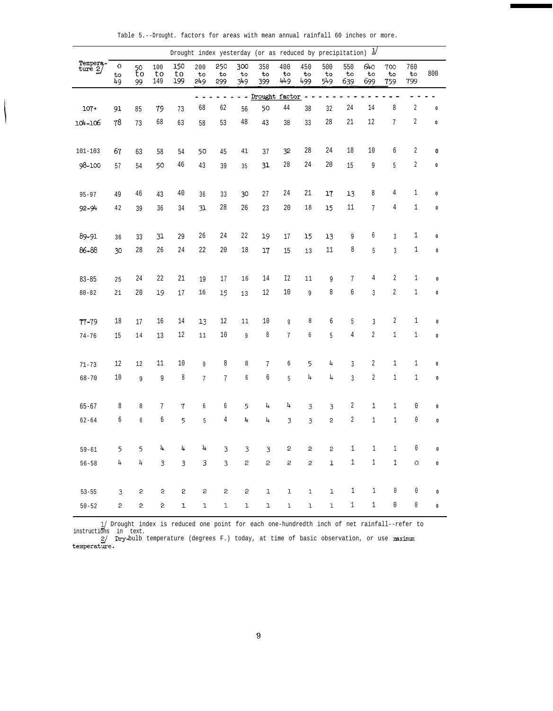|  |  | Table 5.--Drought. factors for areas with mean annual rainfall 60 inches or more. |  |  |  |  |  |  |  |  |  |  |  |
|--|--|-----------------------------------------------------------------------------------|--|--|--|--|--|--|--|--|--|--|--|
|--|--|-----------------------------------------------------------------------------------|--|--|--|--|--|--|--|--|--|--|--|

|                       |                                                      |                |                  |                  |                  |                  | Drought index yesterday (or as reduced by precipitation) $\frac{1}{2}$ |                            |                  |                  |                                                                                                                                                            |                  |                  |                  |                  |              |
|-----------------------|------------------------------------------------------|----------------|------------------|------------------|------------------|------------------|------------------------------------------------------------------------|----------------------------|------------------|------------------|------------------------------------------------------------------------------------------------------------------------------------------------------------|------------------|------------------|------------------|------------------|--------------|
| Tempera-<br>ture $2/$ | $\mathsf O$<br>$\mathop{\mathtt{to}}\nolimits$<br>49 | 50<br>to<br>99 | 100<br>to<br>149 | 150<br>to<br>199 | 200<br>to<br>249 | 250<br>to<br>299 | 300<br>$\mathsf{to}$<br>349                                            | 350<br>$\mathbf{t}$<br>399 | 400<br>to<br>449 | 450<br>to<br>499 | 500<br>to<br>549                                                                                                                                           | 550<br>to<br>639 | 640<br>to<br>699 | 700<br>to<br>759 | 760<br>to<br>799 | 800          |
|                       |                                                      |                |                  |                  |                  |                  | $\blacksquare$                                                         | Drought factor -           |                  |                  |                                                                                                                                                            |                  |                  |                  |                  |              |
| $107+$                | 91                                                   | 85             | 79               | 73               | 68               | 62               | 56                                                                     | 50                         | 44               | 38               | 32                                                                                                                                                         | 24               | 14               | 8                | $\sqrt{2}$       | $\pmb{0}$    |
| 104-106               | 78                                                   | 73             | 68               | 63               | 58               | 53               | $4\,8$                                                                 | 43                         | 38               | 33               | 28                                                                                                                                                         | 21               | 12               | $\sqrt{ }$       | $\sqrt{2}$       | $\mathbf 0$  |
|                       |                                                      |                |                  |                  |                  |                  |                                                                        |                            |                  |                  |                                                                                                                                                            |                  |                  |                  |                  |              |
| $101 - 103$           | 67                                                   | 63             | 58               | 54               | 50               | 45               | 41                                                                     | 37                         | 32               | 28               | 24                                                                                                                                                         | 18               | 10               | 6                | 2                | 0            |
| 98-100                | 57                                                   | 54             | 50               | 46               | 43               | 39               | 35                                                                     | 31                         | 28               | 24               | 20                                                                                                                                                         | 15               | 9                | 5                | $\sqrt{2}$       | $\pmb{0}$    |
|                       |                                                      |                |                  |                  |                  |                  |                                                                        |                            |                  |                  |                                                                                                                                                            |                  |                  |                  |                  |              |
| $95 - 97$             | 49                                                   | 46             | 43               | 40               | 36               | 33               | 30                                                                     | 27                         | 24               | 21               | 17                                                                                                                                                         | 13               | 8                | 4                | $\mathbf{1}$     | $\bf{0}$     |
| $92 - 94$             | 42                                                   | 39             | 36               | 34               | 31               | 28               | 26                                                                     | 23                         | 20               | 18               | 15                                                                                                                                                         | 11               | 7                | 4                | $\mathbf 1$      | $\pmb{0}$    |
|                       |                                                      |                |                  |                  |                  |                  |                                                                        |                            |                  |                  |                                                                                                                                                            |                  |                  |                  |                  |              |
| 89-91                 | 36                                                   | 33             | 31               | 29               | 26               | 24               | 22                                                                     | 19                         | 17               | 15               | 13                                                                                                                                                         | 9                | б                | $\mathfrak z$    | $\mathbf 1$      | $\pmb{0}$    |
| 86-88                 | 30                                                   | 28             | 26               | 24               | 22               | 20               | 18                                                                     | 17                         | 15               | 13               | 11                                                                                                                                                         | 8                | 5                | $\sqrt{3}$       | $1\,$            | $\pmb{0}$    |
|                       |                                                      |                |                  |                  |                  |                  |                                                                        |                            |                  |                  |                                                                                                                                                            |                  |                  |                  |                  |              |
| $83 - 85$             | 25                                                   | 24             | 22               | 21               | 19               | $17\,$           | 16                                                                     | 14                         | I2               | 11               | 9                                                                                                                                                          | $\sqrt{ }$       | $\rm 4$          | $\overline{2}$   | $\mathbf 1$      | $\mathbf{0}$ |
| $80 - 82$             | 21                                                   | 20             | 19               | 17               | 16               | 15               | 13                                                                     | 12                         | 10               | 9                | $\,8\,$                                                                                                                                                    | 6                | $\sqrt{3}$       | $\sqrt{2}$       | $1\,$            | $\pmb{0}$    |
|                       |                                                      |                |                  |                  |                  |                  |                                                                        |                            |                  |                  |                                                                                                                                                            |                  |                  |                  |                  |              |
| $77 - 79$             | $18\,$                                               | 17             | 16               | 14               | 13               | 12               | $11\,$                                                                 | 10                         | 9                | $\,8\,$          | 6                                                                                                                                                          | $5\,$            | $\sqrt{3}$       | $\sqrt{2}$       | $\mathbf 1$      | $\pmb{0}$    |
| $74 - 76$             | 15                                                   | 14             | 13               | $12\,$           | $11\,$           | 10               | 9                                                                      | 8                          | $\overline{7}$   | 6                | 5                                                                                                                                                          | $\,4$            | $\overline{2}$   | $1\,$            | $\mathbf{1}$     | $\pmb{0}$    |
|                       |                                                      |                |                  |                  |                  |                  |                                                                        |                            |                  |                  |                                                                                                                                                            |                  |                  |                  |                  |              |
| $71 - 73$             | 12                                                   | 12             | 11               | $10$             | 9                | 8                | 8                                                                      | $\overline{7}$             | $\boldsymbol{6}$ | 5                | 4                                                                                                                                                          | 3                | $\overline{c}$   | $1\,$            | $1\,$            | $\pmb{0}$    |
| $68 - 70$             | 10                                                   | 9              | 9                | $\,$ 8 $\,$      | $\overline{7}$   | $\sqrt{ }$       | 6                                                                      | 6                          | 5                | 4                | 4                                                                                                                                                          | 3                | $\sqrt{2}$       | $\,1$            | $\mathbf{1}$     | $\mathbf{0}$ |
|                       |                                                      |                |                  |                  |                  |                  |                                                                        |                            |                  |                  |                                                                                                                                                            |                  |                  |                  |                  |              |
| $65 - 67$             | 8                                                    | 8              | 7                | $\sqrt{7}$       | б                | $\boldsymbol{6}$ | 5                                                                      | 4                          | 4                | 3                | 3                                                                                                                                                          | $\sqrt{2}$       | $1\,$            | $\mathbf{1}$     | 0                | $\pmb{0}$    |
| $62 - 64$             | 6                                                    | 6              | $\boldsymbol{6}$ | 5                | 5                | $\sqrt{4}$       | 4                                                                      | 4                          | 3                | 3                | $\mathbf{c}$                                                                                                                                               | $\sqrt{2}$       | $1\,$            | $\,1$            | $\mathbb O$      | $\pmb{0}$    |
|                       |                                                      |                |                  |                  |                  |                  |                                                                        |                            |                  |                  |                                                                                                                                                            |                  |                  |                  |                  |              |
| $59 - 61$             | 5                                                    | 5              | 4                | 4                | 4                | 3                | 3                                                                      | $\overline{\mathbf{3}}$    | $\mathbf{c}$     | $\mathsf{S}$     | $\mathsf{S}% _{T}=\mathsf{S}_{T}\!\left( a,b\right) ,\mathsf{S}_{T}=\mathsf{S}_{T}\!\left( a,b\right) ,\mathsf{S}_{T}=\mathsf{S}_{T}\!\left( a,b\right) ,$ | $\mathbf 1$      | $\mathbf 1$      | $\,1$            | 0                | $\pmb{0}$    |
| $56 - 58$             | 4                                                    | 4              | 3                | 3                | 3                | 3                | 2                                                                      | $\overline{c}$             | $\mathbf{c}$     | 2                | $\mathbf 1$                                                                                                                                                | $1\,$            | $1\,$            | $1\,$            | $\circ$          | $\pmb{0}$    |
|                       |                                                      |                |                  |                  |                  |                  |                                                                        |                            |                  |                  |                                                                                                                                                            |                  |                  |                  |                  |              |
| $53 - 55$             | 3                                                    | 2              | 2                | 2                | 2                | 2                | 2                                                                      | ı                          | ı                | $\mathbf 1$      | $\mathbf 1$                                                                                                                                                | 1                | $\mathbf 1$      | 0                | 0                | $\pmb{0}$    |
| $50 - 52$             | 2                                                    | 2              | Ś                | $\mathbf 1$      | ı                | ı                | 1                                                                      | 1                          | $\mathbf 1$      | $\mathbf 1$      | $\mathbf 1$                                                                                                                                                | $\,1$            | $\mathbf 1$      | 0                | 0                | $\pmb{0}$    |

1) Drought index is reduced one point for each one-hundredth inch of net rainfall--refer to instructions in text.<br>
2) Dry-bulb temperature (degrees F.) today, at time of basic observation, or use maximum<br>
temperature.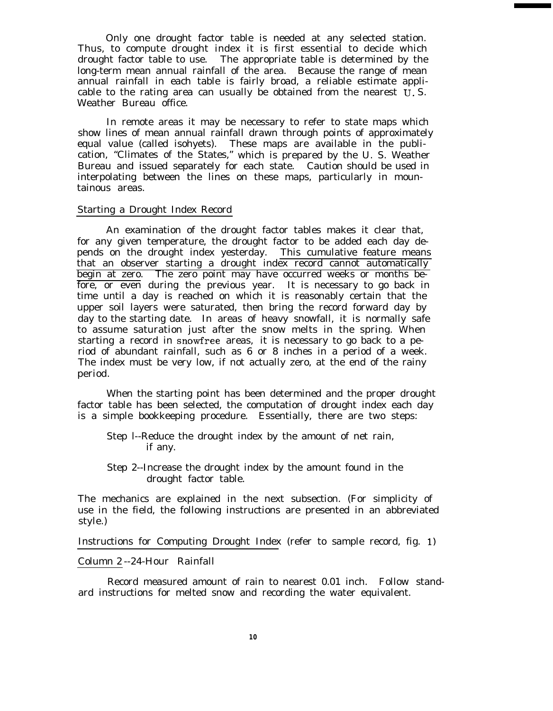Only one drought factor table is needed at any selected station. Thus, to compute drought index it is first essential to decide which drought factor table to use. The appropriate table is determined by the long-term mean annual rainfall of the area. Because the range of mean annual rainfall in each table is fairly broad, a reliable estimate applicable to the rating area can usually be obtained from the nearest U. S. Weather Bureau office.

In remote areas it may be necessary to refer to state maps which show lines of mean annual rainfall drawn through points of approximately equal value (called isohyets). These maps are available in the publication, "Climates of the States," which is prepared by the U. S. Weather Bureau and issued separately for each state. Caution should be used in interpolating between the lines on these maps, particularly in mountainous areas.

#### Starting a Drought Index Record

An examination of the drought factor tables makes it clear that, for any given temperature, the drought factor to be added each day depends on the drought index yesterday. This cumulative feature means that an observer starting a drought index record cannot automatically begin at zero. The zero point may have occurred weeks or months before, or even during the previous year. It is necessary to go back in time until a day is reached on which it is reasonably certain that the upper soil layers were saturated, then bring the record forward day by day to the starting date. In areas of heavy snowfall, it is normally safe to assume saturation just after the snow melts in the spring. When starting a record in snowfree areas, it is necessary to go back to a period of abundant rainfall, such as 6 or 8 inches in a period of a week. The index must be very low, if not actually zero, at the end of the rainy period.

When the starting point has been determined and the proper drought factor table has been selected, the computation of drought index each day is a simple bookkeeping procedure. Essentially, there are two steps:

- Step l--Reduce the drought index by the amount of net rain, if any.
- Step 2--Increase the drought index by the amount found in the drought factor table.

The mechanics are explained in the next subsection. (For simplicity of use in the field, the following instructions are presented in an abbreviated style.)

Instructions for Computing Drought Index (refer to sample record, fig. 1)

#### Column 2 --24-Hour Rainfall

Record measured amount of rain to nearest 0.01 inch. Follow standard instructions for melted snow and recording the water equivalent.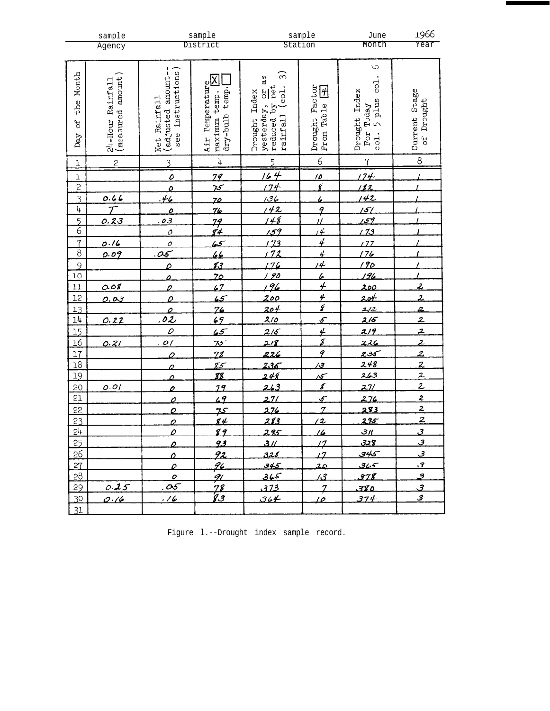|                                    | sample                       |                                     | sample                                                                   |                                   | sample                                | June                                   | 1966                             |
|------------------------------------|------------------------------|-------------------------------------|--------------------------------------------------------------------------|-----------------------------------|---------------------------------------|----------------------------------------|----------------------------------|
|                                    | Agency                       |                                     | District                                                                 |                                   | Station                               | Month                                  | Year                             |
|                                    |                              |                                     |                                                                          |                                   |                                       | $\mathcal{Q}$                          |                                  |
| Month                              | amount<br>Rainfall           | instructions<br>(adjusted amount-   | $\boxtimes$                                                              | $\widehat{\mathfrak{G}}$<br>as    |                                       | col.                                   |                                  |
|                                    |                              |                                     | Air Temperature<br>dry-bulb temp.<br>maximum temp.                       | (col.<br>Index                    | Drought Factor<br>From Table <b>F</b> | Drought Index                          | Stage                            |
| the                                |                              |                                     |                                                                          | yesterday,                        |                                       | For Today<br>col. 5 plus               | Drought                          |
| JÓ                                 |                              |                                     |                                                                          | rainfall<br>Drought               |                                       |                                        | Current                          |
| $\mathrm{Da}y$                     |                              | see                                 |                                                                          |                                   |                                       |                                        | 9f                               |
|                                    | $24 - H$ our Ra $(m$ easured | Net Rainfall                        |                                                                          | yesterday, or :<br>reduced by net |                                       | col.                                   |                                  |
| $\bf{1}$                           | $\mathsf{S}$                 | $\overline{3}$                      | $\ensuremath{\text{h}}$                                                  | $\overline{5}$                    | $\overline{6}$                        | $\overline{1}$                         | $\,8\,$                          |
| $\mathbf 1$                        |                              | $\overline{o}$                      | 79                                                                       | $\overline{44}$                   | 10                                    | 174                                    |                                  |
| $\overline{c}$                     |                              | $\mathcal{O}$                       | $\frac{1}{25}$                                                           | $\sqrt{74}$                       | $\overline{\mathbf{g}}$               | 112                                    |                                  |
| $\overline{3}$                     | $rac{0.66}{T}$               | 46                                  | 70.                                                                      | 136                               | $\epsilon$                            | 142                                    |                                  |
| 4                                  |                              | $\overline{\mathbf{c}}$             | <u>76</u>                                                                | 142                               | $\frac{9}{11}$                        | 151                                    |                                  |
| $\overline{5}$                     | 0.23                         | <u>. o 3</u>                        | 79<br>84                                                                 | ----<br>148<br>159                |                                       | <u> 159</u>                            |                                  |
| $\overline{6}$                     |                              | $\overline{\mathcal{O}}$            |                                                                          |                                   | $\overline{14}$                       | <u>, 73</u>                            |                                  |
| $\overline{1}$                     | 0.16                         | $\overline{\rho}$                   | $\frac{2}{\sqrt{2}}$                                                     | $\frac{1}{113}$                   | $\overline{4}$                        | 122                                    |                                  |
| $\overline{8}$                     | 0.09                         | 05                                  | 66                                                                       | 72                                | 4                                     | <u> 176</u>                            |                                  |
| $\overline{9}$                     |                              | $\overline{\mathcal{L}}$            | ŁŁ                                                                       | 176                               | <u>14</u>                             | —<br><u>190</u>                        |                                  |
| 10                                 |                              | $\overline{\mathbf{c}}$             | <u>70</u>                                                                | 90                                | 6                                     | 196                                    |                                  |
| 11                                 | 0.08                         | $\mathcal{Q}$                       | 67                                                                       | 196                               | $\overline{4}$                        | <u> 200</u>                            | $\overline{z}$                   |
| 12                                 | 0.03                         | $\overline{\mathcal{Q}}$            | $\sqrt{5}$                                                               | <u>200</u>                        | $\frac{4}{6}$                         | <u> 20⊬</u><br>$\frac{2}{2}$           | $\overline{z}$                   |
| 13<br>$\overline{14}$              |                              | $\overline{\mathcal{L}}$            |                                                                          | $\frac{204}{210}$                 |                                       | $\frac{2}{5}$                          | $\overline{z}$                   |
|                                    | 0.22                         | $\frac{\frac{0}{02}}{\frac{0}{02}}$ | $\frac{76}{69}$<br>$\frac{65}{75}$<br>$\frac{75}{85}$<br>$\frac{85}{88}$ | 215                               |                                       | 219                                    | $\overline{z}$<br>$\overline{z}$ |
| $\overline{15}$<br>$\overline{16}$ |                              | .01                                 |                                                                          | 218                               | $\frac{\mu}{\delta}$                  |                                        | $\overline{2}$                   |
| $\overline{17}$                    | 0.21                         |                                     |                                                                          | 226                               | $\overline{P}$                        | 226                                    | $\overline{\mathcal{Z}}$         |
| $\overline{18}$                    |                              | 0                                   |                                                                          |                                   | $\overline{3}$                        |                                        | $\overline{z}$                   |
| 19                                 |                              | 0                                   |                                                                          | -<br>236<br>248                   |                                       |                                        | $\overline{z}$                   |
| 20                                 | 0.01                         | 0                                   | 79                                                                       | $\frac{1}{263}$                   | $\frac{15}{8}$                        | $\frac{235}{248}$<br>$\frac{248}{263}$ |                                  |
| 21                                 |                              | $\overline{\mathcal{L}}$            | 49                                                                       | 27/                               | $\frac{1}{\sqrt{2}}$                  | 276                                    | $\frac{2}{2}$<br>$\frac{2}{2}$   |
| 22                                 |                              | $\overline{O}$                      | <u>مہ</u>                                                                | 276                               | $\overline{z}$                        | <u>283</u>                             |                                  |
|                                    |                              | 2                                   | <u>'s 4</u>                                                              | 283                               | $\overline{2}$                        | 295                                    |                                  |
| $rac{23}{24}$                      |                              | $\mathcal{O}$                       | 89                                                                       | 295                               | 16                                    | 311                                    | $\overline{\mathcal{Z}}$         |
| 25                                 |                              | $\overline{\mathcal{L}}$            | 93                                                                       | <u>3 // </u>                      | 12                                    | 328                                    | $\overline{\mathcal{Z}}$         |
| 26                                 |                              | $\overline{\mathbf{a}}$             | 92                                                                       | 328                               | $\overline{12}$                       | 345                                    | <u>ع</u>                         |
| 27                                 |                              | $\overline{\rho}$                   | <u>96 </u>                                                               | 345                               | 20                                    | <u> بحمائی</u>                         | <u>্য</u>                        |
| 28                                 |                              | $\mathcal{O}$                       | 91                                                                       | 365                               | $\sqrt{3}$                            | 378                                    | <u>ತ</u>                         |
| 29                                 | 0.25                         | .05                                 | $\frac{78}{83}$                                                          | 373                               | $\overline{\mathcal{I}}$              | 380                                    | $\overline{3}$                   |
| 30                                 | 0.16                         | <u>. 16</u>                         |                                                                          | 364                               | <u> 10.</u>                           | 374                                    | 3                                |
| 31                                 |                              |                                     |                                                                          |                                   |                                       |                                        |                                  |

| Figure 1.--Drought index sample record. |  |  |
|-----------------------------------------|--|--|
|                                         |  |  |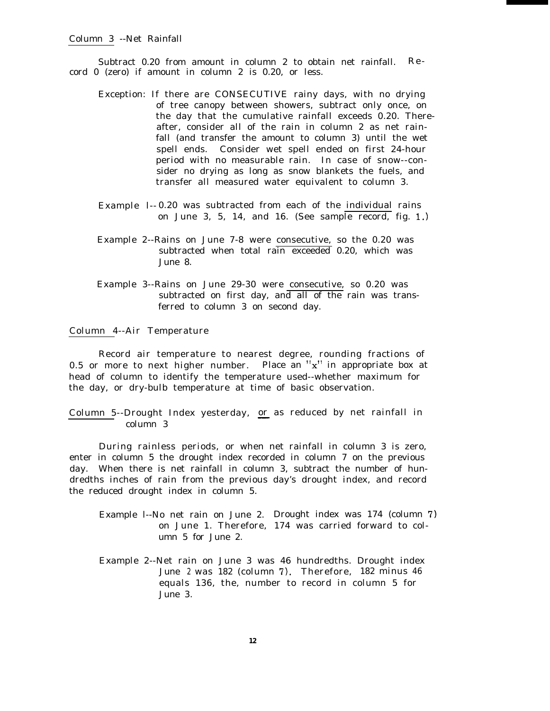Subtract 0.20 from amount in column 2 to obtain net rainfall. Record 0 (zero) if amount in column 2 is 0.20, or less.

- Exception: If there are CONSECUTIVE rainy days, with no drying of tree canopy between showers, subtract only once, on the day that the cumulative rainfall exceeds 0.20. Thereafter, consider all of the rain in column 2 as net rainfall (and transfer the amount to column 3) until the wet spell ends. Consider wet spell ended on first 24-hour period with no measurable rain. In case of snow--consider no drying as long as snow blankets the fuels, and transfer all measured water equivalent to column 3.
- Example l-- 0.20 was subtracted from each of the individual rains on June 3, 5, 14, and 16. (See sample record, fig. 1.)
- Example 2--Rains on June 7-8 were consecutive, so the 0.20 was subtracted when total rain exceeded 0.20, which was June 8.
- Example 3--Rains on June 29-30 were consecutive, so 0.20 was subtracted on first day, and all of the rain was transferred to column 3 on second day.

### Column 4--Air Temperature

Record air temperature to nearest degree, rounding fractions of 0.5 or more to next higher number. Place an "x" in appropriate box at head of column to identify the temperature used--whether maximum for the day, or dry-bulb temperature at time of basic observation.

Column 5--Drought Index yesterday, <u>or</u> or as reduced by net rainfall in column 3

During rainless periods, or when net rainfall in column 3 is zero, enter in column 5 the drought index recorded in column 7 on the previous day. When there is net rainfall in column 3, subtract the number of hundredths inches of rain from the previous day's drought index, and record the reduced drought index in column 5.

- Example l--No net rain on June 2. Drought index was 174 (column 7) on June 1. Therefore, 174 was carried forward to column 5 for June 2.
- Example 2--Net rain on June 3 was 46 hundredths. Drought index June <sup>2</sup> was 182 (column 7). Therefore, 182 minus 46 equals 136, the, number to record in column 5 for June 3.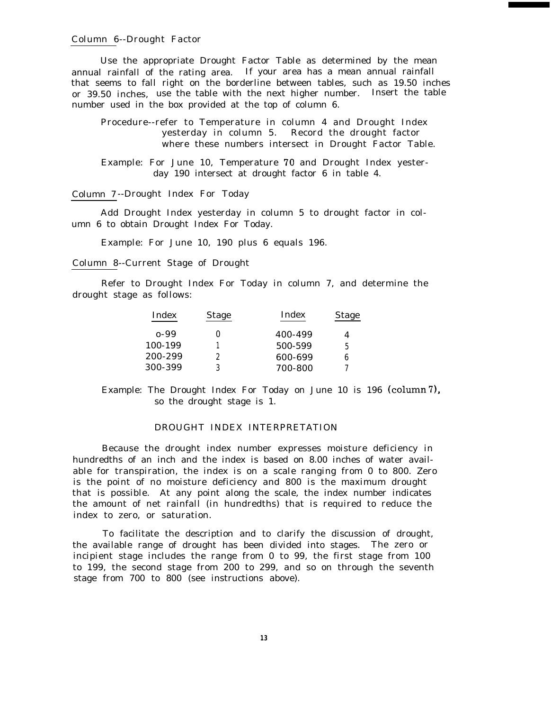#### Column 6--Drought Factor

Use the appropriate Drought Factor Table as determined by the mean annual rainfall of the rating area. If your area has a mean annual rainfall that seems to fall right on the borderline between tables, such as 19.50 inches or 39.50 inches, use the table with the next higher number. Insert the table number used in the box provided at the top of column 6.

Procedure--refer to Temperature in column 4 and Drought Index yesterday in column 5. Record the drought factor where these numbers intersect in Drought Factor Table.

Example: For June 10, Temperature 70 and Drought Index yesterday 190 intersect at drought factor 6 in table 4.

#### Column 7 --Drought Index For Today

Add Drought Index yesterday in column 5 to drought factor in column 6 to obtain Drought Index For Today.

Example: For June 10, 190 plus 6 equals 196.

Column 8--Current Stage of Drought

Refer to Drought Index For Today in column 7, and determine the drought stage as follows:

| Index   | <b>Stage</b> | Index   | <b>Stage</b> |
|---------|--------------|---------|--------------|
| o-99    |              | 400-499 |              |
| 100-199 |              | 500-599 | 5            |
| 200-299 |              | 600-699 |              |
| 300-399 |              | 700-800 |              |

Example: The Drought Index For Today on June 10 is 196 (column7), so the drought stage is 1.

#### DROUGHT INDEX INTERPRETATION

Because the drought index number expresses moisture deficiency in hundredths of an inch and the index is based on 8.00 inches of water available for transpiration, the index is on a scale ranging from 0 to 800. Zero is the point of no moisture deficiency and 800 is the maximum drought that is possible. At any point along the scale, the index number indicates the amount of net rainfall (in hundredths) that is required to reduce the index to zero, or saturation.

To facilitate the description and to clarify the discussion of drought, the available range of drought has been divided into stages. The zero or incipient stage includes the range from 0 to 99, the first stage from 100 to 199, the second stage from 200 to 299, and so on through the seventh stage from 700 to 800 (see instructions above).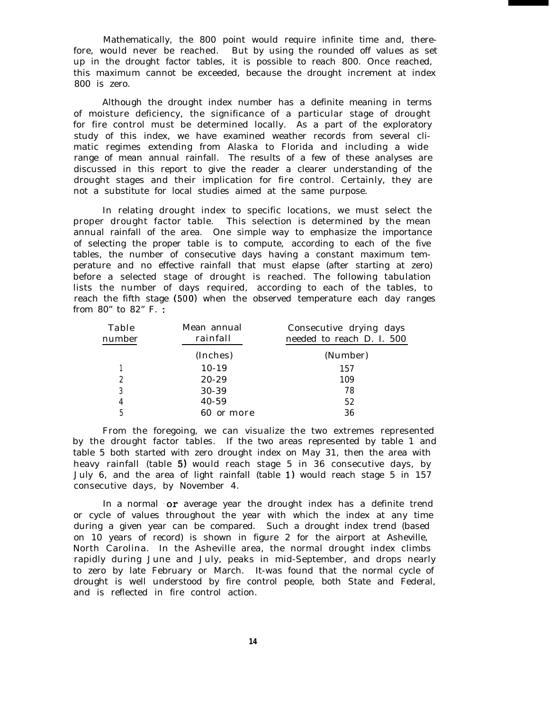Mathematically, the 800 point would require infinite time and, therefore, would never be reached. But by using the rounded off values as set up in the drought factor tables, it is possible to reach 800. Once reached, this maximum cannot be exceeded, because the drought increment at index 800 is zero.

Although the drought index number has a definite meaning in terms of moisture deficiency, the significance of a particular stage of drought for fire control must be determined locally. As a part of the exploratory study of this index, we have examined weather records from several climatic regimes extending from Alaska to Florida and including a wide range of mean annual rainfall. The results of a few of these analyses are discussed in this report to give the reader a clearer understanding of the drought stages and their implication for fire control. Certainly, they are not a substitute for local studies aimed at the same purpose.

In relating drought index to specific locations, we must select the proper drought factor table. This selection is determined by the mean annual rainfall of the area. One simple way to emphasize the importance of selecting the proper table is to compute, according to each of the five tables, the number of consecutive days having a constant maximum temperature and no effective rainfall that must elapse (after starting at zero) before a selected stage of drought is reached. The following tabulation lists the number of days required, according to each of the tables, to reach the fifth stage (500) when the observed temperature each day ranges from 80" to 82" F. :

| Table<br>number | Mean annual<br>rainfall | Consecutive drying days<br>needed to reach D. I. 500 |
|-----------------|-------------------------|------------------------------------------------------|
|                 | (Inches)                | (Number)                                             |
|                 | $10-19$                 | 157                                                  |
| 2               | $20 - 29$               | 109                                                  |
| 3               | 30-39                   | 78                                                   |
| 4               | 40-59                   | 52                                                   |
| 5               | or more                 | 36                                                   |

From the foregoing, we can visualize the two extremes represented by the drought factor tables. If the two areas represented by table 1 and table 5 both started with zero drought index on May 31, then the area with heavy rainfall (table 5) would reach stage 5 in 36 consecutive days, by July 6, and the area of light rainfall (table 1) would reach stage 5 in 157 consecutive days, by November 4.

In a normal  $or$  average year the drought index has a definite trend or cycle of values throughout the year with which the index at any time during a given year can be compared. Such a drought index trend (based on 10 years of record) is shown in figure 2 for the airport at Asheville, North Carolina. In the Asheville area, the normal drought index climbs rapidly during June and July, peaks in mid-September, and drops nearly to zero by late February or March. It-was found that the normal cycle of drought is well understood by fire control people, both State and Federal, and is reflected in fire control action.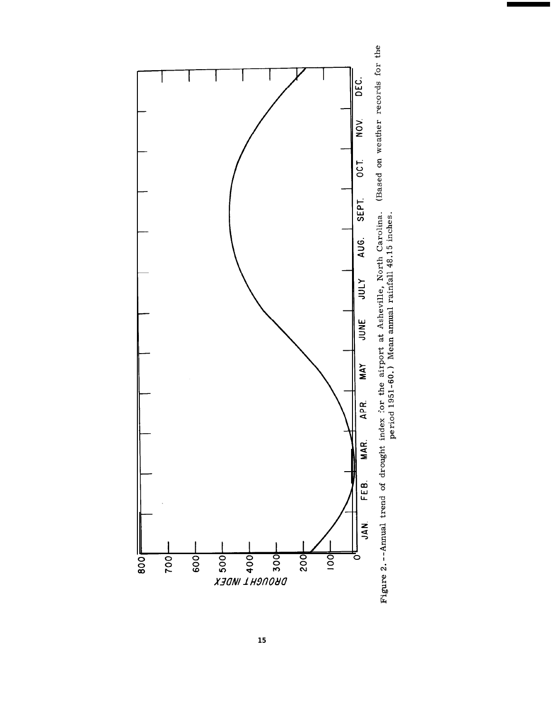

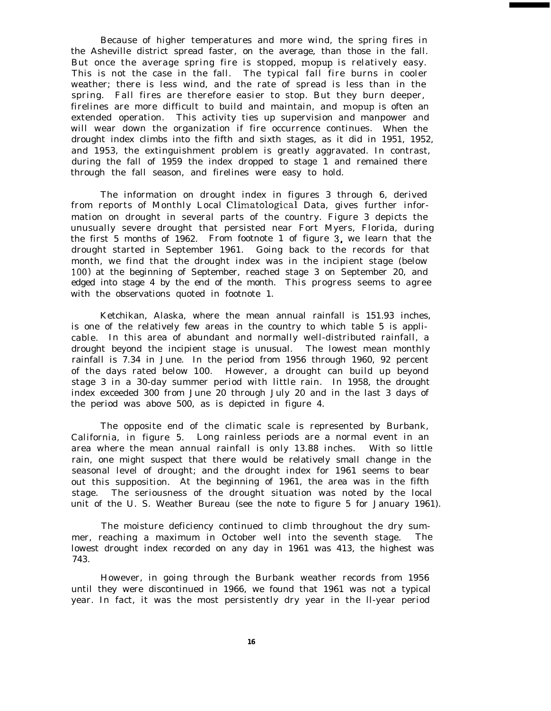Because of higher temperatures and more wind, the spring fires in the Asheville district spread faster, on the average, than those in the fall. But once the average spring fire is stopped, mopup is relatively easy. This is not the case in the fall. The typical fall fire burns in cooler weather; there is less wind, and the rate of spread is less than in the spring. Fall fires are therefore easier to stop. But they burn deeper, firelines are more difficult to build and maintain, and mopup is often an extended operation. This activity ties up supervision and manpower and will wear down the organization if fire occurrence continues. When the drought index climbs into the fifth and sixth stages, as it did in 1951, 1952, and 1953, the extinguishment problem is greatly aggravated. In contrast, during the fall of 1959 the index dropped to stage 1 and remained there through the fall season, and firelines were easy to hold.

The information on drought index in figures 3 through 6, derived from reports of Monthly Local Climatological Data, gives further information on drought in several parts of the country. Figure 3 depicts the unusually severe drought that persisted near Fort Myers, Florida, during the first 5 months of 1962. From footnote 1 of figure 3. we learn that the drought started in September 1961. Going back to the records for that month, we find that the drought index was in the incipient stage (below 100) at the beginning of September, reached stage 3 on September 20, and edged into stage 4 by the end of the month. This progress seems to agree with the observations quoted in footnote 1.

Ketchikan, Alaska, where the mean annual rainfall is 151.93 inches, is one of the relatively few areas in the country to which table 5 is applicable. In this area of abundant and normally well-distributed rainfall, a drought beyond the incipient stage is unusual. The lowest mean monthly rainfall is 7.34 in June. In the period from 1956 through 1960, 92 percent of the days rated below 100. However, a drought can build up beyond stage 3 in a 30-day summer period with little rain. In 1958, the drought index exceeded 300 from June 20 through July 20 and in the last 3 days of the period was above 500, as is depicted in figure 4.

The opposite end of the climatic scale is represented by Burbank, California, in figure 5. Long rainless periods are a normal event in an area where the mean annual rainfall is only 13.88 inches. With so little rain, one might suspect that there would be relatively small change in the seasonal level of drought; and the drought index for 1961 seems to bear out this supposition. At the beginning of 1961, the area was in the fifth stage. The seriousness of the drought situation was noted by the local unit of the U. S. Weather Bureau (see the note to figure 5 for January 1961).

The moisture deficiency continued to climb throughout the dry summer, reaching a maximum in October well into the seventh stage. The lowest drought index recorded on any day in 1961 was 413, the highest was 743.

However, in going through the Burbank weather records from 1956 until they were discontinued in 1966, we found that 1961 was not a typical year. In fact, it was the most persistently dry year in the ll-year period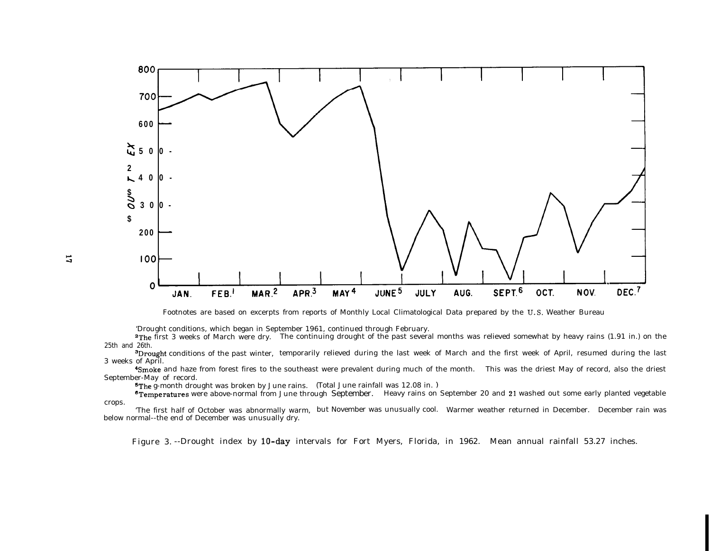

Footnotes are based on excerpts from reports of Monthly Local Climatological Data prepared by the U. S. Weather Bureau

'Drought conditions, which began in September 1961, continued through February.

<sup>2</sup>The first 3 weeks of March were dry. The continuing drought of the past several months was relieved somewhat by heavy rains (1.91 in.) on the 25th and 26th.

<sup>3</sup>Drought conditions of the past winter, temporarily relieved during the last week of March and the first week of April, resumed during the last 3 weeks of April.

%moke and haze from forest fires to the southeast were prevalent during much of the month. This was the driest May of record, also the driest September-May of record.

sThe g-month drought was broken by June rains. (Total June rainfall was 12.08 in. )

**\*Temperatures** were above-normal from June through September. Heavy rains on September 20 and 21 washed out some early planted vegetable crops.

'The first half of October was abnormally warm, but November was unusually cool. Warmer weather returned in December. December rain was below normal--the end of December was unusually dry.

Figure 3. --Drought index by 10-day intervals for Fort Myers, Florida, in 1962. Mean annual rainfall 53.27 inches.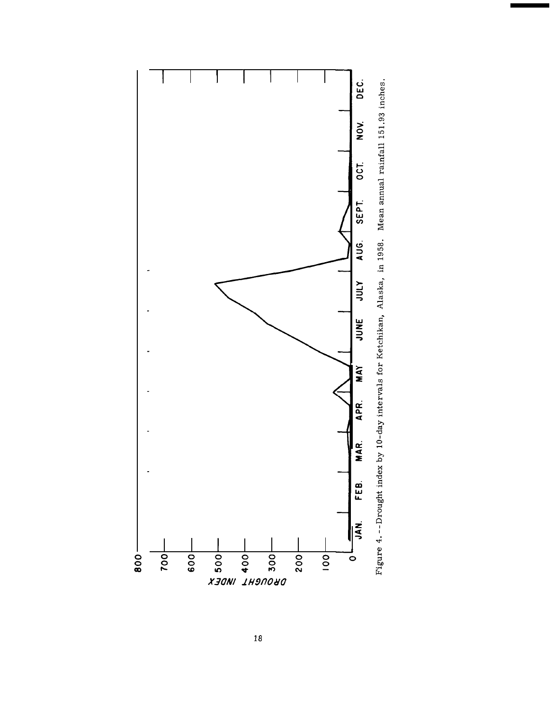

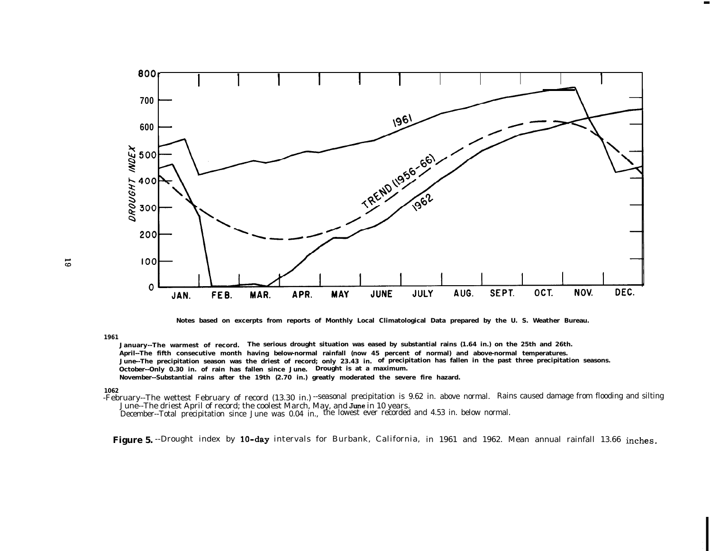

**Notes based on excerpts from reports of Monthly Local Climatological Data prepared by the U. S. Weather Bureau.**

**1961**

**January--The warmest of record. The serious drought situation was eased by substantial rains (1.64 in.) on the 25th and 26th. April--The fifth consecutive month having below-normal rainfall (now 45 percent of normal) and above-normal temperatures. June--The precipitation season was the driest of record; only 23.43 in. of precipitation has fallen in the past three precipitation seasons. October--Only 0.30 in. of rain has fallen since June. Drought is at a maximum. November--Substantial rains after the 19th (2.70 in.) greatly moderated the severe fire hazard.**

#### **1062**

-February--The wettest February of record (13.30 in.) --seasonal precipitation is 9.62 in. above normal. Rains caused damage from flooding and silting June--The driest April of record; the coolest March, May, and June in 10 years.

December--Total precipitation since June was 0.04 in., the lowest ever recorded and 4.53 in. below normal.

Figure 5. --Drought index by 10-day intervals for Burbank, California, in 1961 and 1962. Mean annual rainfall 13.66 inches.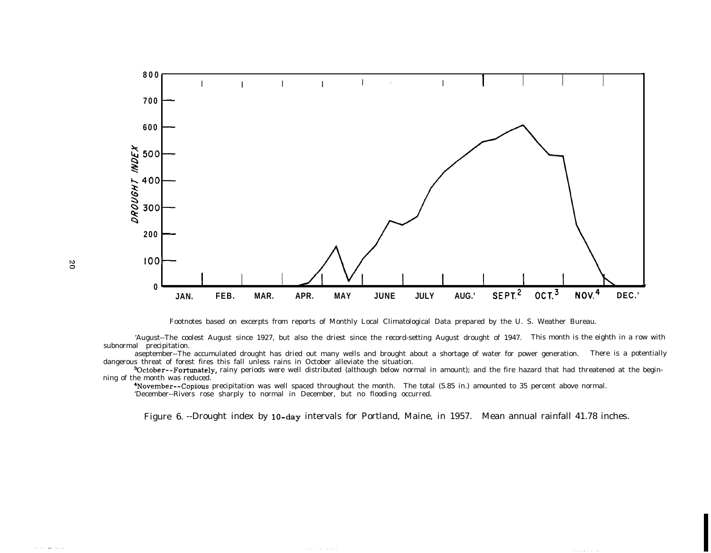

Footnotes based on excerpts from reports of Monthly Local Climatological Data prepared by the U. S. Weather Bureau.

'August--The coolest August since 1927, but also the driest since the record-setting August drought of 1947. This month is the eighth in a row with subnormal precipitation.

aseptember--The accumulated drought has dried out many wells and brought about a shortage of water for power generation. There is a potentially dangerous threat of forest fires this fall unless rains in October alleviate the situation.

aoctober--Fortunately, rainy periods were well distributed (although below normal in amount); and the fire hazard that had threatened at the beginning of the month was reduced.

4November--Copious precipitation was well spaced throughout the month. The total (5.85 in.) amounted to 35 percent above normal. 'December--Rivers rose sharply to normal in December, but no flooding occurred.

Figure 6. --Drought index by 10-day intervals for Portland, Maine, in 1957. Mean annual rainfall 41.78 inches.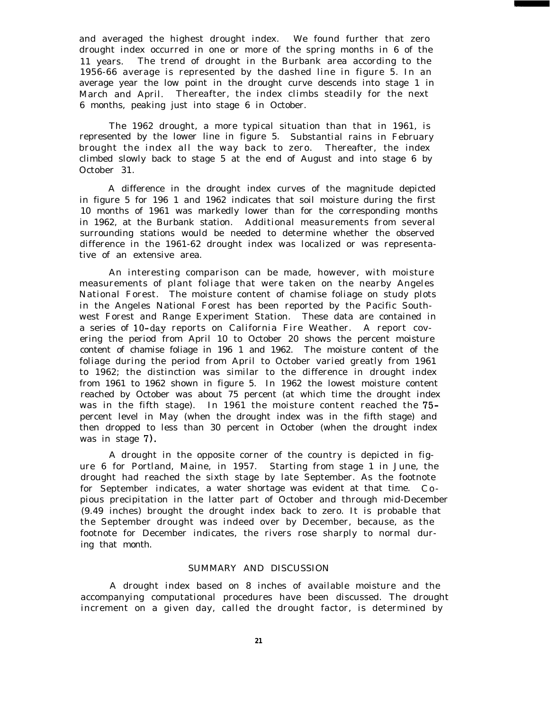and averaged the highest drought index. We found further that zero drought index occurred in one or more of the spring months in 6 of the 11 years. The trend of drought in the Burbank area according to the 1956-66 average is represented by the dashed line in figure 5. In an average year the low point in the drought curve descends into stage 1 in March and April. Thereafter, the index climbs steadily for the next 6 months, peaking just into stage 6 in October.

The 1962 drought, a more typical situation than that in 1961, is represented by the lower line in figure 5. Substantial rains in February brought the index all the way back to zero. Thereafter, the index climbed slowly back to stage 5 at the end of August and into stage 6 by October 31.

A difference in the drought index curves of the magnitude depicted in figure 5 for 196 1 and 1962 indicates that soil moisture during the first 10 months of 1961 was markedly lower than for the corresponding months in 1962, at the Burbank station. Additional measurements from several surrounding stations would be needed to determine whether the observed difference in the 1961-62 drought index was localized or was representative of an extensive area.

An interesting comparison can be made, however, with moisture measurements of plant foliage that were taken on the nearby Angeles National Forest. The moisture content of chamise foliage on study plots in the Angeles National Forest has been reported by the Pacific Southwest Forest and Range Experiment Station. These data are contained in a series of lo-day reports on California Fire Weather. A report covering the period from April 10 to October 20 shows the percent moisture content of chamise foliage in 196 1 and 1962. The moisture content of the foliage during the period from April to October varied greatly from 1961 to 1962; the distinction was similar to the difference in drought index from 1961 to 1962 shown in figure 5. In 1962 the lowest moisture content reached by October was about 75 percent (at which time the drought index was in the fifth stage). In 1961 the moisture content reached the 75 percent level in May (when the drought index was in the fifth stage) and then dropped to less than 30 percent in October (when the drought index was in stage 7).

A drought in the opposite corner of the country is depicted in figure 6 for Portland, Maine, in 1957. Starting from stage 1 in June, the drought had reached the sixth stage by late September. As the footnote for September indicates, a water shortage was evident at that time. Copious precipitation in the latter part of October and through mid-December (9.49 inches) brought the drought index back to zero. It is probable that the September drought was indeed over by December, because, as the footnote for December indicates, the rivers rose sharply to normal during that month.

#### SUMMARY AND DISCUSSION

A drought index based on 8 inches of available moisture and the accompanying computational procedures have been discussed. The drought increment on a given day, called the drought factor, is determined by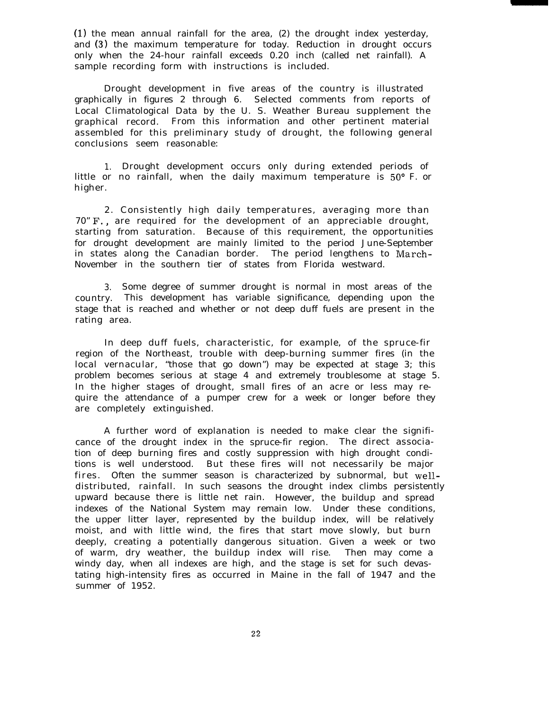(1) the mean annual rainfall for the area, (2) the drought index yesterday, and (3) the maximum temperature for today. Reduction in drought occurs only when the 24-hour rainfall exceeds 0.20 inch (called net rainfall). A sample recording form with instructions is included.

Drought development in five areas of the country is illustrated graphically in figures 2 through 6. Selected comments from reports of Local Climatological Data by the U. S. Weather Bureau supplement the graphical record. From this information and other pertinent material assembled for this preliminary study of drought, the following general conclusions seem reasonable:

1. Drought development occurs only during extended periods of little or no rainfall, when the daily maximum temperature is 50' F. or higher.

2. Consistently high daily temperatures, averaging more than 70" F., are required for the development of an appreciable drought, starting from saturation. Because of this requirement, the opportunities for drought development are mainly limited to the period June-September in states along the Canadian border. The period lengthens to March-November in the southern tier of states from Florida westward.

3. Some degree of summer drought is normal in most areas of the country. This development has variable significance, depending upon the stage that is reached and whether or not deep duff fuels are present in the rating area.

In deep duff fuels, characteristic, for example, of the spruce-fir region of the Northeast, trouble with deep-burning summer fires (in the local vernacular, "those that go down") may be expected at stage 3; this problem becomes serious at stage 4 and extremely troublesome at stage 5. In the higher stages of drought, small fires of an acre or less may require the attendance of a pumper crew for a week or longer before they are completely extinguished.

A further word of explanation is needed to make clear the significance of the drought index in the spruce-fir region. The direct association of deep burning fires and costly suppression with high drought conditions is well understood. But these fires will not necessarily be major fires. Often the summer season is characterized by subnormal, but welldistributed, rainfall. In such seasons the drought index climbs persistently upward because there is little net rain. However, the buildup and spread indexes of the National System may remain low. Under these conditions, the upper litter layer, represented by the buildup index, will be relatively moist, and with little wind, the fires that start move slowly, but burn deeply, creating a potentially dangerous situation. Given a week or two of warm, dry weather, the buildup index will rise. Then may come a windy day, when all indexes are high, and the stage is set for such devastating high-intensity fires as occurred in Maine in the fall of 1947 and the summer of 1952.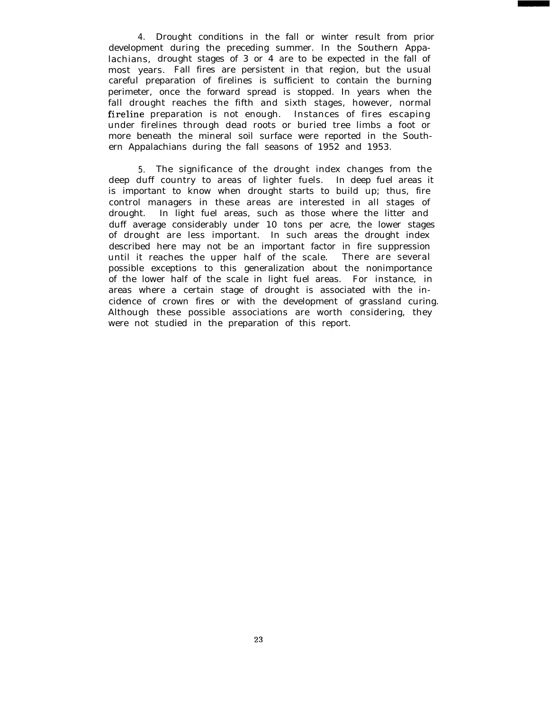4. Drought conditions in the fall or winter result from prior development during the preceding summer. In the Southern Appalachians, drought stages of 3 or 4 are to be expected in the fall of most years. Fall fires are persistent in that region, but the usual careful preparation of firelines is sufficient to contain the burning perimeter, once the forward spread is stopped. In years when the fall drought reaches the fifth and sixth stages, however, normal fireline preparation is not enough. Instances of fires escaping under firelines through dead roots or buried tree limbs a foot or more beneath the mineral soil surface were reported in the Southern Appalachians during the fall seasons of 1952 and 1953.

5. The significance of the drought index changes from the deep duff country to areas of lighter fuels. In deep fuel areas it is important to know when drought starts to build up; thus, fire control managers in these areas are interested in all stages of drought. In light fuel areas, such as those where the litter and duff average considerably under 10 tons per acre, the lower stages of drought are less important. In such areas the drought index described here may not be an important factor in fire suppression until it reaches the upper half of the scale. There are several possible exceptions to this generalization about the nonimportance of the lower half of the scale in light fuel areas. For instance, in areas where a certain stage of drought is associated with the incidence of crown fires or with the development of grassland curing. Although these possible associations are worth considering, they were not studied in the preparation of this report.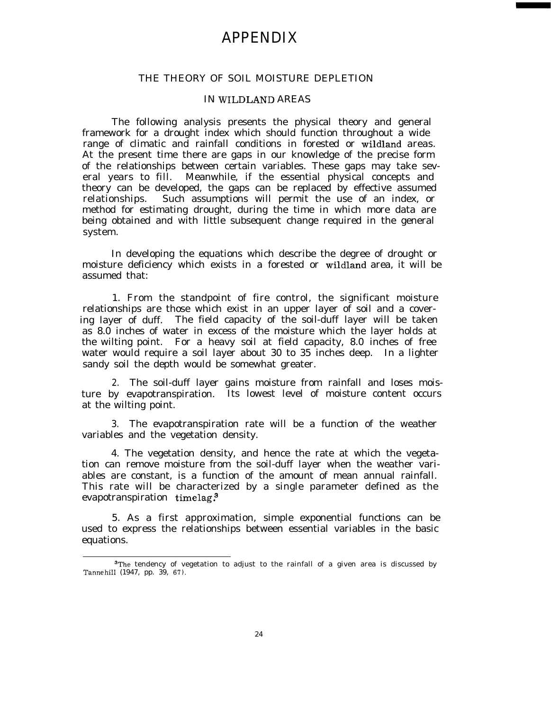## APPENDIX

#### THE THEORY OF SOIL MOISTURE DEPLETION

#### IN WILDLAND AREAS

The following analysis presents the physical theory and general framework for a drought index which should function throughout a wide range of climatic and rainfall conditions in forested or wildland areas. At the present time there are gaps in our knowledge of the precise form of the relationships between certain variables. These gaps may take several years to fill. Meanwhile, if the essential physical concepts and theory can be developed, the gaps can be replaced by effective assumed relationships. Such assumptions will permit the use of an index, or method for estimating drought, during the time in which more data are being obtained and with little subsequent change required in the general system.

In developing the equations which describe the degree of drought or moisture deficiency which exists in a forested or wildland area, it will be assumed that:

1. From the standpoint of fire control, the significant moisture relationships are those which exist in an upper layer of soil and a covering layer of duff. The field capacity of the soil-duff layer will be taken as 8.0 inches of water in excess of the moisture which the layer holds at the wilting point. For a heavy soil at field capacity, 8.0 inches of free water would require a soil layer about 30 to 35 inches deep. In a lighter sandy soil the depth would be somewhat greater.

2. The soil-duff layer gains moisture from rainfall and loses moisture by evapotranspiration. Its lowest level of moisture content occurs at the wilting point.

3. The evapotranspiration rate will be a function of the weather variables and the vegetation density.

4. The vegetation density, and hence the rate at which the vegetation can remove moisture from the soil-duff layer when the weather variables are constant, is a function of the amount of mean annual rainfall. This rate will be characterized by a single parameter defined as the evapotranspiration timelag.

5. As a first approximation, simple exponential functions can be used to express the relationships between essential variables in the basic equations.

 $^{\rm 3}$ The tendency of vegetation to adjust to the rainfall of a given area is discussed by Tannehill (1947, pp. 39, 67).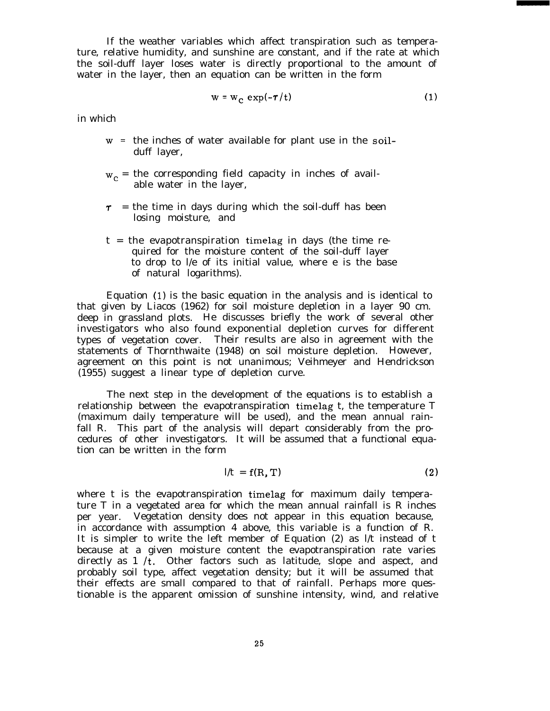If the weather variables which affect transpiration such as temperature, relative humidity, and sunshine are constant, and if the rate at which the soil-duff layer loses water is directly proportional to the amount of water in the layer, then an equation can be written in the form

$$
w = w_c \exp(-\tau/t) \tag{1}
$$

in which

- w <sup>=</sup> the inches of water available for plant use in the soilduff layer,
- $w_c$  = the corresponding field capacity in inches of available water in the layer,
- $\tau$  = the time in days during which the soil-duff has been losing moisture, and
- $t =$  the evapotranspiration timelag in days (the time required for the moisture content of the soil-duff layer to drop to l/e of its initial value, where e is the base of natural logarithms).

Equation (1) is the basic equation in the analysis and is identical to that given by Liacos (1962) for soil moisture depletion in a layer 90 cm. deep in grassland plots. He discusses briefly the work of several other investigators who also found exponential depletion curves for different types of vegetation cover. Their results are also in agreement with the statements of Thornthwaite (1948) on soil moisture depletion. However, agreement on this point is not unanimous; Veihmeyer and Hendrickson (1955) suggest a linear type of depletion curve.

The next step in the development of the equations is to establish a relationship between the evapotranspiration timelag t, the temperature T (maximum daily temperature will be used), and the mean annual rainfall R. This part of the analysis will depart considerably from the procedures of other investigators. It will be assumed that a functional equation can be written in the form

$$
l/t = f(R, T) \tag{2}
$$

where t is the evapotranspiration timelag for maximum daily temperature T in a vegetated area for which the mean annual rainfall is R inches per year. Vegetation density does not appear in this equation because, in accordance with assumption 4 above, this variable is a function of R. It is simpler to write the left member of Equation (2) as l/t instead of t because at a given moisture content the evapotranspiration rate varies directly as  $1/t$ . Other factors such as latitude, slope and aspect, and probably soil type, affect vegetation density; but it will be assumed that their effects are small compared to that of rainfall. Perhaps more questionable is the apparent omission of sunshine intensity, wind, and relative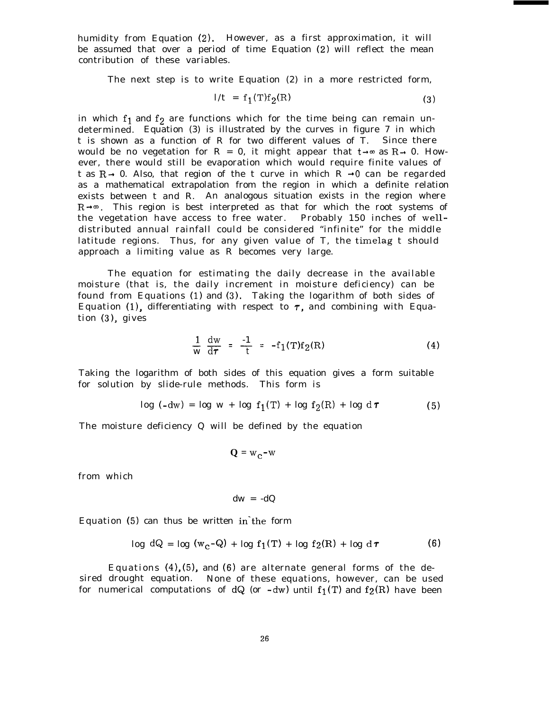humidity from Equation (2). However, as a first approximation, it will be assumed that over a period of time Equation (2) will reflect the mean contribution of these variables.

The next step is to write Equation (2) in a more restricted form,

$$
1/t = f_1(T)f_2(R)
$$
 (3)

in which  $f_1$  and  $f_2$  are functions which for the time being can remain undetermined. Equation (3) is illustrated by the curves in figure 7 in which t is shown as a function of R for two different values of T. Since there would be no vegetation for R = 0, it might appear that  $t\rightarrow \infty$  as R $\rightarrow$  0. However, there would still be evaporation which would require finite values of t as  $R \rightarrow 0$ . Also, that region of the t curve in which  $R \rightarrow 0$  can be regarded as a mathematical extrapolation from the region in which a definite relation exists between t and R. An analogous situation exists in the region where  $R\rightarrow\infty$ . This region is best interpreted as that for which the root systems of the vegetation have access to free water. Probably 150 inches of welldistributed annual rainfall could be considered "infinite" for the middle latitude regions. Thus, for any given value of T, the timelag t should approach a limiting value as R becomes very large.

The equation for estimating the daily decrease in the available moisture (that is, the daily increment in moisture deficiency) can be found from Equations (1) and (3). Taking the logarithm of both sides of Equation (1), differentiating with respect to  $\tau$ , and combining with Equation (3), gives

$$
\frac{1}{w} \frac{dw}{d\tau} = -\frac{1}{t} = -f_1(T)f_2(R)
$$
 (4)

Taking the logarithm of both sides of this equation gives a form suitable for solution by slide-rule methods. This form is

$$
\log (-dw) = \log w + \log f_1(T) + \log f_2(R) + \log d\tau \tag{5}
$$

The moisture deficiency Q will be defined by the equation

$$
Q = w_c - w
$$

from which

$$
dw = -dQ
$$

Equation  $(5)$  can thus be written in the form

$$
\log dQ = \log (w_C - Q) + \log f_1(T) + \log f_2(R) + \log d\tau \tag{6}
$$

Equations  $(4)$ ,  $(5)$ , and  $(6)$  are alternate general forms of the desired drought equation. None of these equations, however, can be used for numerical computations of  $dQ$  (or  $-dw$ ) until  $f_1(T)$  and  $f_2(R)$  have been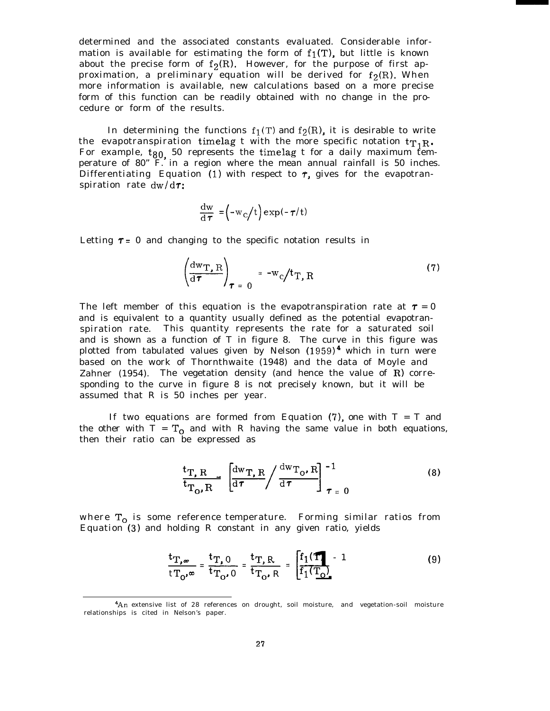determined and the associated constants evaluated. Considerable information is available for estimating the form of  $f_1(T)$ , but little is known about the precise form of  $f_2(R)$ . However, for the purpose of first approximation, a preliminary equation will be derived for  $f_2(R)$ . When more information is available, new calculations based on a more precise form of this function can be readily obtained with no change in the procedure or form of the results.

In determining the functions  $f_1(T)$  and  $f_2(R)$ , it is desirable to write the evapotranspiration timelag t with the more specific notation  $tr_1R$ . For example,  $t_{80}$  50 represents the timelag t for a daily maximum temperature of 80" F. in a region where the mean annual rainfall is 50 inches. Differentiating Equation (1) with respect to  $\tau$ , gives for the evapotranspiration rate  $dw/d\tau$ :

$$
\frac{dw}{d\tau} = (-w_c/t) \exp(-\tau/t)
$$

Letting  $\tau = 0$  and changing to the specific notation results in

$$
\left(\frac{d w_{T, R}}{d \tau}\right)_{\tau = 0} = -w_c/t_{T, R}
$$
 (7)

The left member of this equation is the evapotranspiration rate at  $\tau = 0$ and is equivalent to a quantity usually defined as the potential evapotranspiration rate. This quantity represents the rate for a saturated soil and is shown as a function of T in figure 8. The curve in this figure was plotted from tabulated values given by Nelson  $(1959)^4$  which in turn were based on the work of Thornthwaite (1948) and the data of Moyle and Zahner (1954). The vegetation density (and hence the value of  $R$ ) corresponding to the curve in figure 8 is not precisely known, but it will be assumed that R is 50 inches per year.

If two equations are formed from Equation  $(7)$ , one with  $T = T$  and the other with  $T = T_0$  and with R having the same value in both equations, then their ratio can be expressed as

$$
\frac{\mathbf{t}_{\mathrm{T}, R}}{\mathbf{t}_{\mathrm{T}_\mathrm{O}, R}} \left[ \frac{\mathrm{d}w_{\mathrm{T}, R}}{\mathrm{d} \tau} / \frac{\mathrm{d}w_{\mathrm{T}_\mathrm{O}, R}}{\mathrm{d} \tau} \right]_{\tau = 0}^{-1} \tag{8}
$$

where  $T_0$  is some reference temperature. Forming similar ratios from Equation (3) and holding R constant in any given ratio, yields

$$
\begin{aligned}\n\text{reference temperature.} & \text{Forming similar ratios from} \\
\text{holding R constant in any given ratio, yields} \\
\frac{\text{tr}_{,\infty}}{\text{tr}_{0'}\infty} &= \frac{\text{tr}_{,\Omega}}{\text{tr}_{0'}0} = \frac{\text{tr}_{,\text{R}}}{\text{tr}_{0'}\text{R}} = \frac{\text{f}_{1}(\text{F})}{\text{f}_{1}(\text{T}_{\text{Q}})} - 1\n\end{aligned} \tag{9}
$$

<sup>4</sup>An extensive list of 28 references on drought, soil moisture, and vegetation-soil moisture relationships is cited in Nelson's paper.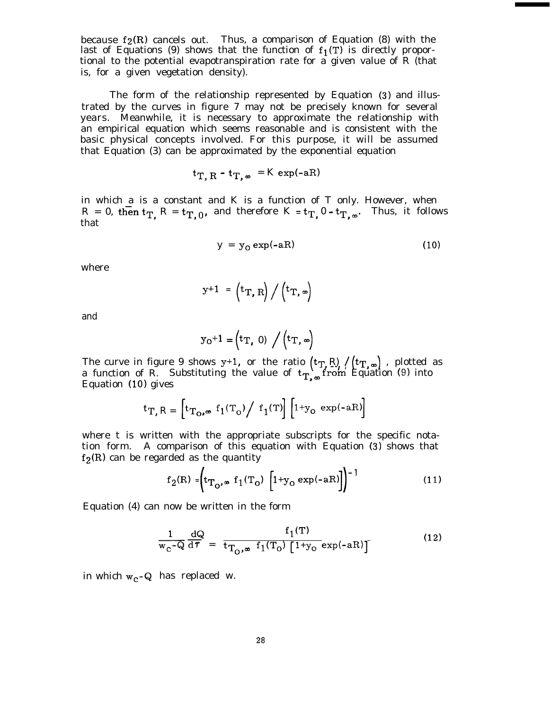because  $f_2(R)$  cancels out. Thus, a comparison of Equation (8) with the last of Equations (9) shows that the function of  $f_1(T)$  is directly proportional to the potential evapotranspiration rate for a given value of R (that is, for a given vegetation density).

The form of the relationship represented by Equation (3) and illustrated by the curves in figure 7 may not be precisely known for several years. Meanwhile, it is necessary to approximate the relationship with an empirical equation which seems reasonable and is consistent with the basic physical concepts involved. For this purpose, it will be assumed that Equation (3) can be approximated by the exponential equation

$$
t_{T, R} - t_{T, \infty} = K \exp(-aR)
$$

in which a is a constant and K is a function of T only. However, when  $R = 0$ , then  $t_T$ ,  $R = t_{T, 0}$ , and therefore  $K = t_{T, 0} - t_{T, \infty}$ . Thus, it follows that

$$
y = y_0 \exp(-aR) \tag{10}
$$

where

$$
y+1 = (t_T, R) / (t_T, \infty)
$$

and

$$
y_0+1 = \left(t_T, 0\right) / \left(t_T, \infty\right)
$$

The curve in figure  $9$  shows  $y+1$ , a function of R. or the ratio  $(\text{tr}_{\text{T}_i} \text{R}) / (\text{tr}_{\text{T}_i, \infty})$  , plotted as Substituting the value of  $t_T$ , from Equation (9) into Equation (10) gives

$$
t_{T, R} = \left[ t_{T_O, \infty} f_1(T_O) / f_1(T) \right] \left[ 1 + y_O \exp(-aR) \right]
$$

where t is written with the appropriate subscripts for the specific notation form. A comparison of this equation with Equation (3) shows that  $f_2(R)$  can be regarded as the quantity

$$
f_2(R) = \left( t_{T_O, \infty} f_1(T_O) \left[ 1 + y_O \exp(-aR) \right] \right)^{-1}
$$
 (11)

Equation (4) can now be written in the form

$$
\frac{1}{w_{\rm c} - Q} \frac{dQ}{d\tau} = \frac{f_1(T)}{t_{\rm T_0, \infty} f_1(T_0) \left[1 + y_0 \exp(-aR)\right]}
$$
(12)

in which  $w_c$ -Q has replaced w.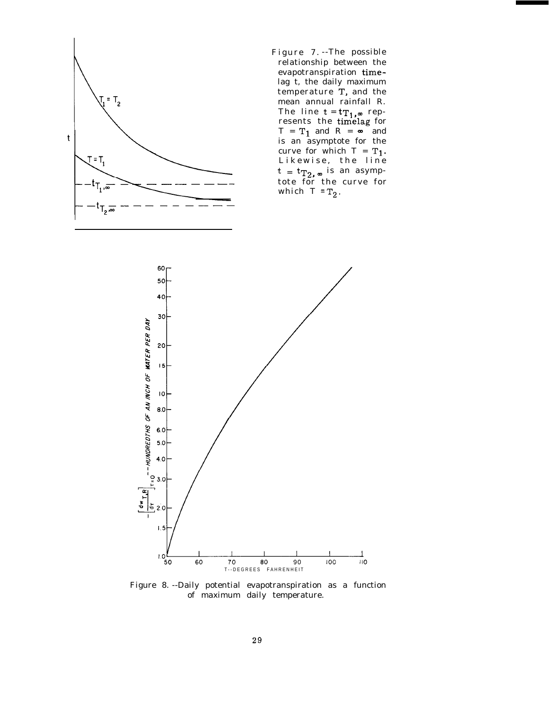

Figure 7. --The possible relationship between the evapotranspiration timelag t, the daily maximum temperature T, and the mean annual rainfall R. The line  $t = tT_1$ ,  $\infty$  represents the timelag for  $T = T_1$  and  $R = \infty$  and is an asymptote for the curve for which  $T = T_1$ . Likewise, the line  $t = t_{T_2, \,\infty}$  is an asymptote for the curve for which  $T = T_2$ .



Figure 8. --Daily potential evapotranspiration as a function of maximum daily temperature.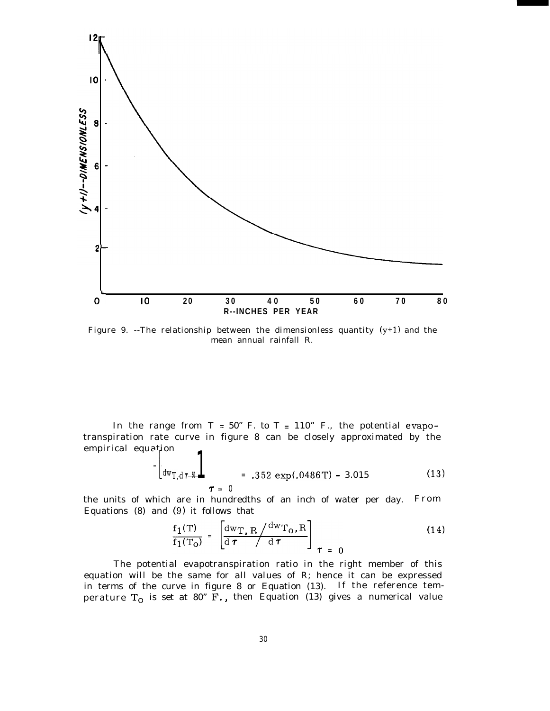

Figure 9. --The relationship between the dimensionless quantity  $(y+1)$  and the mean annual rainfall R.

In the range from  $T = 50$ " F. to  $T = 110$ " F., the potential evapotranspiration rate curve in figure 8 can be closely approximated by the empirical equation  $\overline{a}$ 

$$
\tau = 0
$$
 (13)

the units of which are in hundredths of an inch of water per day. From Equations (8) and (9) it follows that

$$
\frac{f_1(T)}{f_1(T_O)} = \left[ \frac{dw_{T,R}}{d\tau} \frac{dw_{T_O,R}}{d\tau} \right]_{\tau = 0}
$$
\n(14)

The potential evapotranspiration ratio in the right member of this equation will be the same for all values of R; hence it can be expressed in terms of the curve in figure 8 or Equation (13). If the reference temperature  $T_0$  is set at 80" F., then Equation (13) gives a numerical value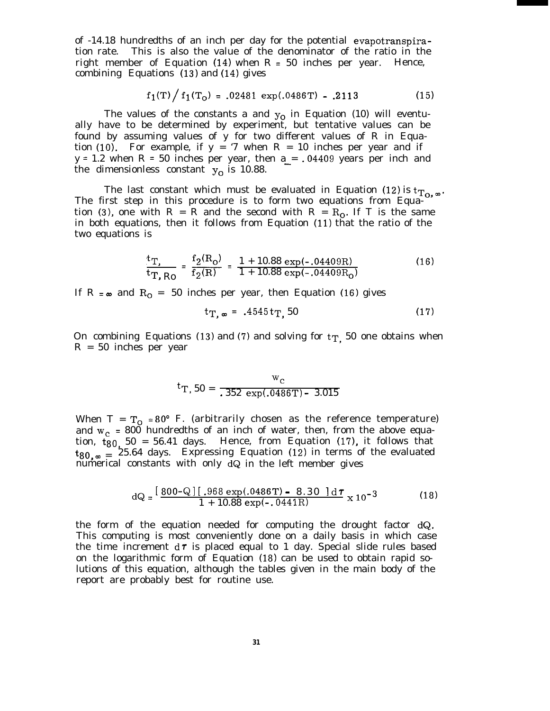of -14.18 hundredths of an inch per day for the potential evapotranspiration rate. This is also the value of the denominator of the ratio in the right member of Equation  $(14)$  when R = 50 inches per year. Hence, combining Equations (13) and (14) gives

$$
f_1(T)/f_1(T_0) = .02481 \exp(.0486T) - .2113
$$
 (15)

The values of the constants a and  $y<sub>o</sub>$  in Equation (10) will eventually have to be determined by experiment, but tentative values can be found by assuming values of y for two different values of R in Equation (10). For example, if  $y = '7$  when  $R = 10$  inches per year and if  $y = 1.2$  when R = 50 inches per year, then a = .04409 years per inch and the dimensionless constant  $y_0$  is 10.88.

The last constant which must be evaluated in Equation (12) is  $t_{To,\infty}$ . The first step in this procedure is to form two equations from Equation (3), one with R = R and the second with R =  $R_0$ . If T is the same in both equations, then it follows from Equation (11) that the ratio of the two equations is

$$
\frac{t_{\rm T}}{t_{\rm T, Ro}} = \frac{f_2(R_0)}{f_2(R)} = \frac{1 + 10.88 \exp(-.04409R)}{1 + 10.88 \exp(-.04409R_0)}
$$
(16)

If R =  $\infty$  and R<sub>O</sub> = 50 inches per year, then Equation (16) gives

$$
t_{T,\infty} = .4545 t_{T,\infty} 50 \tag{17}
$$

On combining Equations (13) and (7) and solving for  $t_T$ , 50 one obtains when R = 50 inches per year

$$
{}^{t}T, 50 = \frac{w_c}{.352 \exp(.0486T) - 3.015}
$$

When T =  $T_0$  = 80° F. (arbitrarily chosen as the reference temperature) and  $w_c$  = 800 hundredths of an inch of water, then, from the above equation,  $t_{80}$ , 50 = 56.41 days. Hence, from Equation (17), it follows that  $t_{80,\infty}$  = 25.64 days. Expressing Equation (12) in terms of the evaluated numerical constants with only dQ in the left member gives

$$
dQ = \frac{[800 - Q][.968 \exp(.0486T) - 8.30] d\tau}{1 + 10.88 \exp(-.0441R)} \times 10^{-3}
$$
 (18)

the form of the equation needed for computing the drought factor dQ. This computing is most conveniently done on a daily basis in which case the time increment  $d\tau$  is placed equal to 1 day. Special slide rules based on the logarithmic form of Equation (18) can be used to obtain rapid solutions of this equation, although the tables given in the main body of the report are probably best for routine use.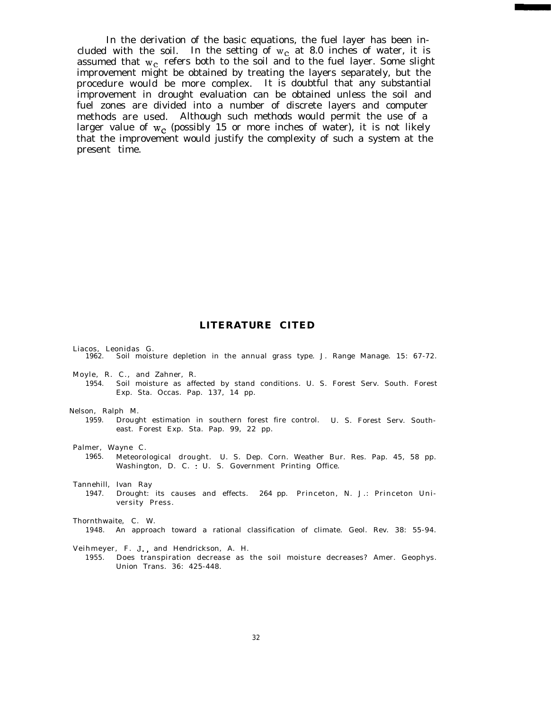In the derivation of the basic equations, the fuel layer has been included with the soil. In the setting of  $w_c$  at 8.0 inches of water, it is assumed that  $w_c$  refers both to the soil and to the fuel layer. Some slight improvement might be obtained by treating the layers separately, but the procedure would be more complex. It is doubtful that any substantial improvement in drought evaluation can be obtained unless the soil and fuel zones are divided into a number of discrete layers and computer methods are used. Although such methods would permit the use of a larger value of  $w_c$  (possibly 15 or more inches of water), it is not likely that the improvement would justify the complexity of such a system at the present time.

#### **LITERATURE CITED**

Liacos, Leonidas G. 1962. Soil moisture depletion in the annual grass type. J. Range Manage. 15: 67-72.

- Moyle, R. C., and Zahner, R.
- 1954. Soil moisture as affected by stand conditions. U. S. Forest Serv. South. Forest Exp. Sta. Occas. Pap. 137, 14 pp.

Nelson, Ralph M.

1959. Drought estimation in southern forest fire control. U. S. Forest Serv. Southeast. Forest Exp. Sta. Pap. 99, 22 pp.

Palmer, Wayne C.

1965. Meteorological drought. U. S. Dep. Corn. Weather Bur. Res. Pap. 45, 58 pp. Washington, D. C. : U. S. Government Printing Office.

Tannehill, Ivan Ray

1947. Drought: its causes and effects. 264 pp. Princeton, N. J.: Princeton University Press.

Thornthwaite, C. W.

1948. An approach toward a rational classification of climate. Geol. Rev. 38: 55-94.

Veihmeyer, F. J., and Hendrickson, A. H.

1955. Does transpiration decrease as the soil moisture decreases? Amer. Geophys. Union Trans. 36: 425-448.